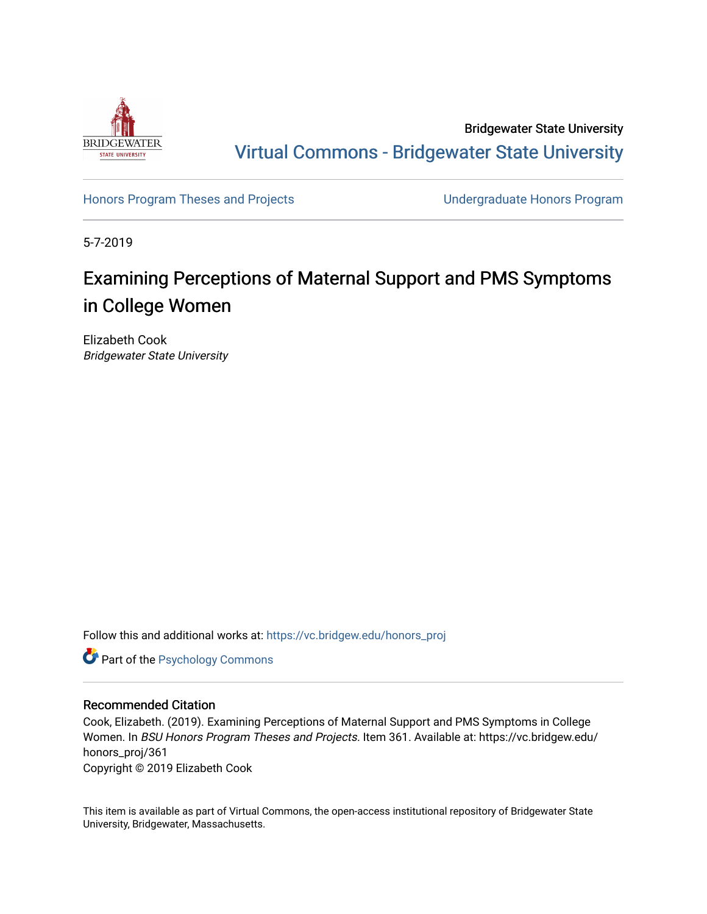

Bridgewater State University [Virtual Commons - Bridgewater State University](https://vc.bridgew.edu/) 

[Honors Program Theses and Projects](https://vc.bridgew.edu/honors_proj) [Undergraduate Honors Program](https://vc.bridgew.edu/honors) 

5-7-2019

# Examining Perceptions of Maternal Support and PMS Symptoms in College Women

Elizabeth Cook Bridgewater State University

Follow this and additional works at: [https://vc.bridgew.edu/honors\\_proj](https://vc.bridgew.edu/honors_proj?utm_source=vc.bridgew.edu%2Fhonors_proj%2F361&utm_medium=PDF&utm_campaign=PDFCoverPages)

**Part of the Psychology Commons** 

## Recommended Citation

Cook, Elizabeth. (2019). Examining Perceptions of Maternal Support and PMS Symptoms in College Women. In BSU Honors Program Theses and Projects. Item 361. Available at: https://vc.bridgew.edu/ honors\_proj/361 Copyright © 2019 Elizabeth Cook

This item is available as part of Virtual Commons, the open-access institutional repository of Bridgewater State University, Bridgewater, Massachusetts.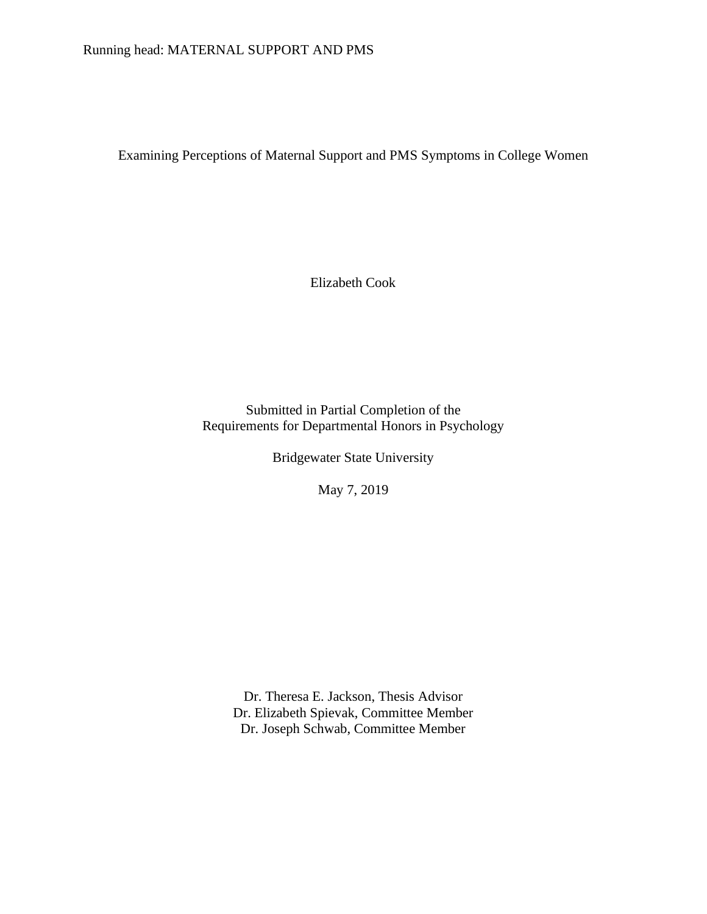# Running head: MATERNAL SUPPORT AND PMS

Examining Perceptions of Maternal Support and PMS Symptoms in College Women

Elizabeth Cook

Submitted in Partial Completion of the Requirements for Departmental Honors in Psychology

Bridgewater State University

May 7, 2019

Dr. Theresa E. Jackson, Thesis Advisor Dr. Elizabeth Spievak, Committee Member Dr. Joseph Schwab, Committee Member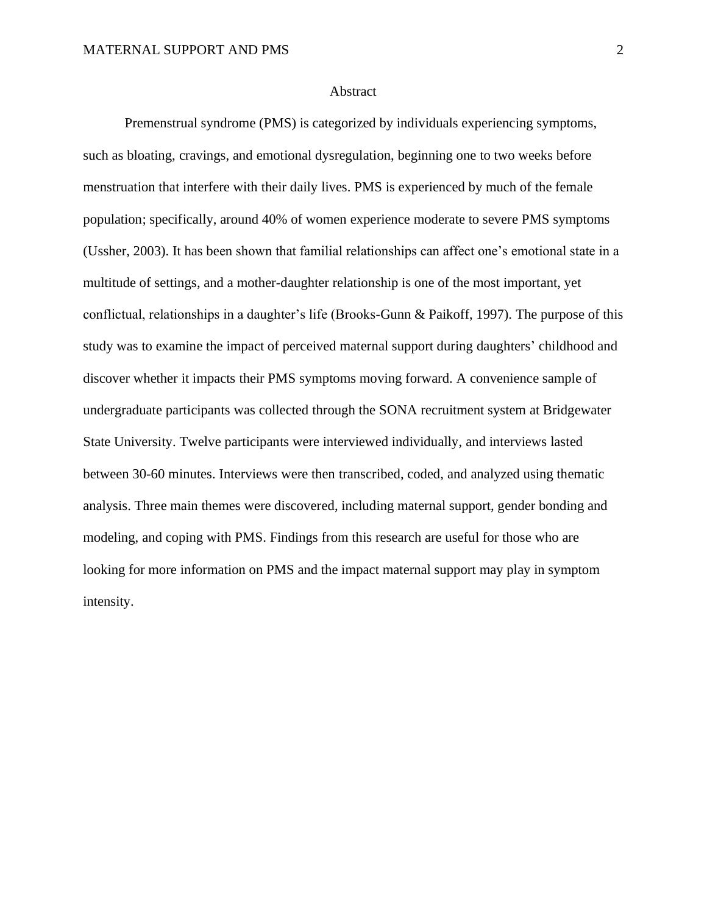#### Abstract

Premenstrual syndrome (PMS) is categorized by individuals experiencing symptoms, such as bloating, cravings, and emotional dysregulation, beginning one to two weeks before menstruation that interfere with their daily lives. PMS is experienced by much of the female population; specifically, around 40% of women experience moderate to severe PMS symptoms (Ussher, 2003). It has been shown that familial relationships can affect one's emotional state in a multitude of settings, and a mother-daughter relationship is one of the most important, yet conflictual, relationships in a daughter's life (Brooks-Gunn & Paikoff, 1997). The purpose of this study was to examine the impact of perceived maternal support during daughters' childhood and discover whether it impacts their PMS symptoms moving forward. A convenience sample of undergraduate participants was collected through the SONA recruitment system at Bridgewater State University. Twelve participants were interviewed individually, and interviews lasted between 30-60 minutes. Interviews were then transcribed, coded, and analyzed using thematic analysis. Three main themes were discovered, including maternal support, gender bonding and modeling, and coping with PMS. Findings from this research are useful for those who are looking for more information on PMS and the impact maternal support may play in symptom intensity.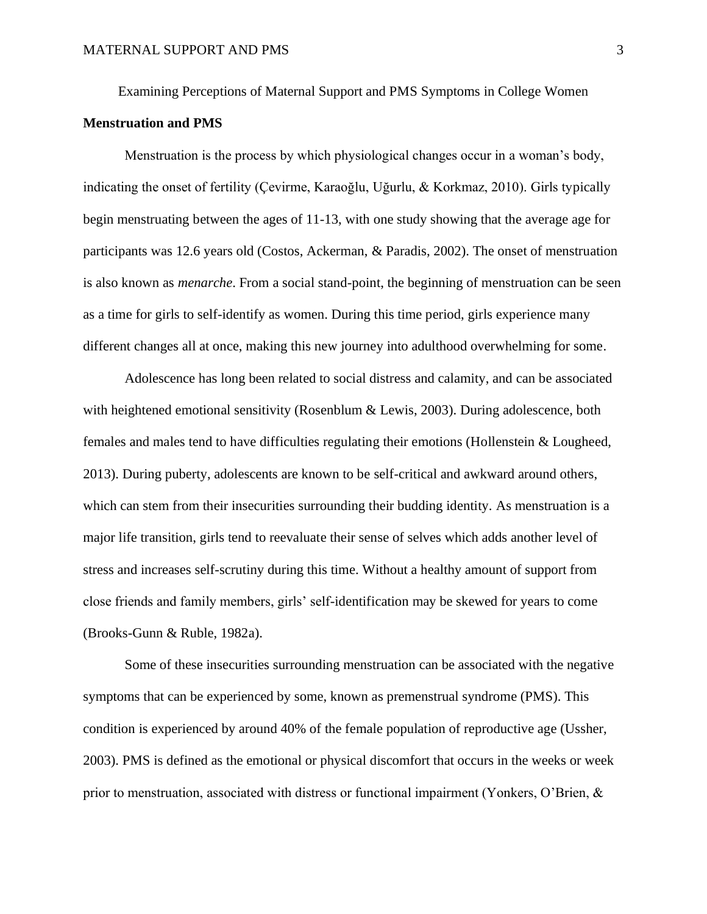Examining Perceptions of Maternal Support and PMS Symptoms in College Women

### **Menstruation and PMS**

Menstruation is the process by which physiological changes occur in a woman's body, indicating the onset of fertility (Çevirme, Karaoğlu, Uğurlu, & Korkmaz, 2010). Girls typically begin menstruating between the ages of 11-13, with one study showing that the average age for participants was 12.6 years old (Costos, Ackerman, & Paradis, 2002). The onset of menstruation is also known as *menarche*. From a social stand-point, the beginning of menstruation can be seen as a time for girls to self-identify as women. During this time period, girls experience many different changes all at once, making this new journey into adulthood overwhelming for some.

Adolescence has long been related to social distress and calamity, and can be associated with heightened emotional sensitivity (Rosenblum & Lewis, 2003). During adolescence, both females and males tend to have difficulties regulating their emotions (Hollenstein & Lougheed, 2013). During puberty, adolescents are known to be self-critical and awkward around others, which can stem from their insecurities surrounding their budding identity. As menstruation is a major life transition, girls tend to reevaluate their sense of selves which adds another level of stress and increases self-scrutiny during this time. Without a healthy amount of support from close friends and family members, girls' self-identification may be skewed for years to come (Brooks-Gunn & Ruble, 1982a).

Some of these insecurities surrounding menstruation can be associated with the negative symptoms that can be experienced by some, known as premenstrual syndrome (PMS). This condition is experienced by around 40% of the female population of reproductive age (Ussher, 2003). PMS is defined as the emotional or physical discomfort that occurs in the weeks or week prior to menstruation, associated with distress or functional impairment (Yonkers, O'Brien, &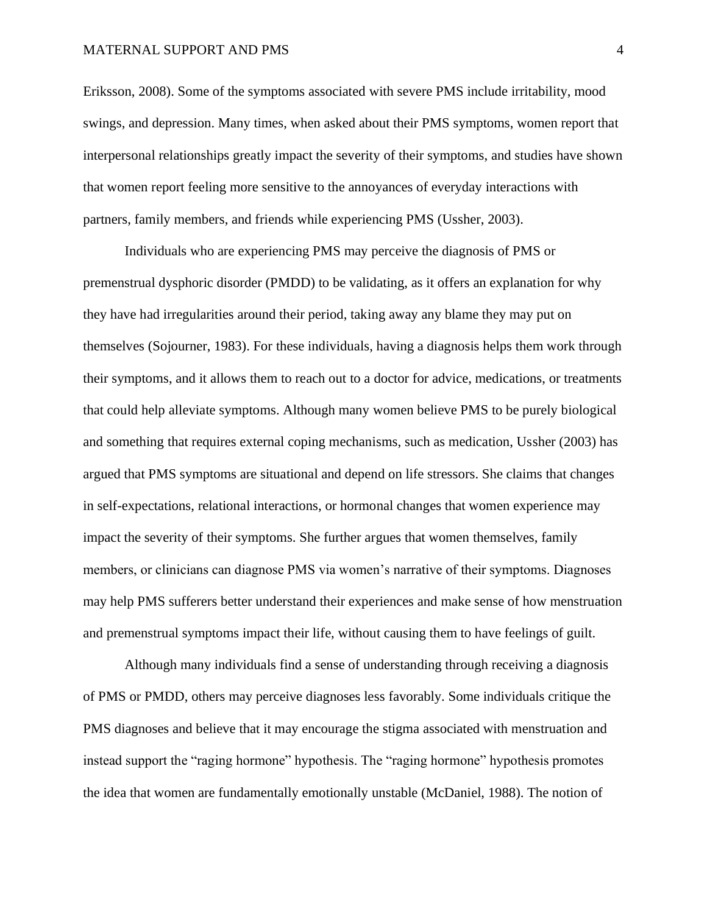Eriksson, 2008). Some of the symptoms associated with severe PMS include irritability, mood swings, and depression. Many times, when asked about their PMS symptoms, women report that interpersonal relationships greatly impact the severity of their symptoms, and studies have shown that women report feeling more sensitive to the annoyances of everyday interactions with partners, family members, and friends while experiencing PMS (Ussher, 2003).

Individuals who are experiencing PMS may perceive the diagnosis of PMS or premenstrual dysphoric disorder (PMDD) to be validating, as it offers an explanation for why they have had irregularities around their period, taking away any blame they may put on themselves (Sojourner, 1983). For these individuals, having a diagnosis helps them work through their symptoms, and it allows them to reach out to a doctor for advice, medications, or treatments that could help alleviate symptoms. Although many women believe PMS to be purely biological and something that requires external coping mechanisms, such as medication, Ussher (2003) has argued that PMS symptoms are situational and depend on life stressors. She claims that changes in self-expectations, relational interactions, or hormonal changes that women experience may impact the severity of their symptoms. She further argues that women themselves, family members, or clinicians can diagnose PMS via women's narrative of their symptoms. Diagnoses may help PMS sufferers better understand their experiences and make sense of how menstruation and premenstrual symptoms impact their life, without causing them to have feelings of guilt.

Although many individuals find a sense of understanding through receiving a diagnosis of PMS or PMDD, others may perceive diagnoses less favorably. Some individuals critique the PMS diagnoses and believe that it may encourage the stigma associated with menstruation and instead support the "raging hormone" hypothesis. The "raging hormone" hypothesis promotes the idea that women are fundamentally emotionally unstable (McDaniel, 1988). The notion of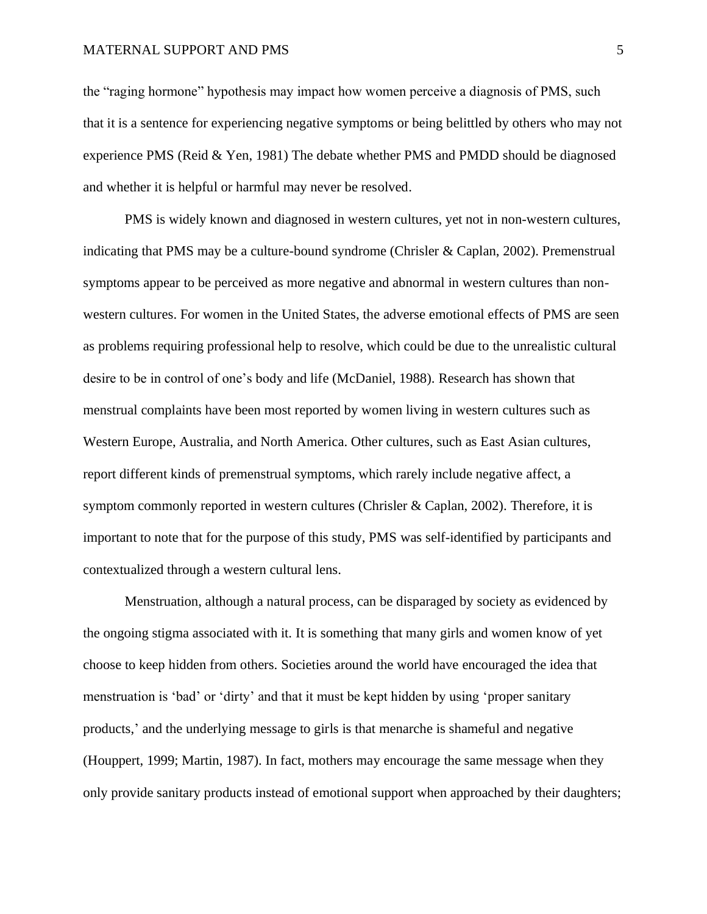the "raging hormone" hypothesis may impact how women perceive a diagnosis of PMS, such that it is a sentence for experiencing negative symptoms or being belittled by others who may not experience PMS (Reid & Yen, 1981) The debate whether PMS and PMDD should be diagnosed and whether it is helpful or harmful may never be resolved.

PMS is widely known and diagnosed in western cultures, yet not in non-western cultures, indicating that PMS may be a culture-bound syndrome (Chrisler & Caplan, 2002). Premenstrual symptoms appear to be perceived as more negative and abnormal in western cultures than nonwestern cultures. For women in the United States, the adverse emotional effects of PMS are seen as problems requiring professional help to resolve, which could be due to the unrealistic cultural desire to be in control of one's body and life (McDaniel, 1988). Research has shown that menstrual complaints have been most reported by women living in western cultures such as Western Europe, Australia, and North America. Other cultures, such as East Asian cultures, report different kinds of premenstrual symptoms, which rarely include negative affect, a symptom commonly reported in western cultures (Chrisler & Caplan, 2002). Therefore, it is important to note that for the purpose of this study, PMS was self-identified by participants and contextualized through a western cultural lens.

Menstruation, although a natural process, can be disparaged by society as evidenced by the ongoing stigma associated with it. It is something that many girls and women know of yet choose to keep hidden from others. Societies around the world have encouraged the idea that menstruation is 'bad' or 'dirty' and that it must be kept hidden by using 'proper sanitary products,' and the underlying message to girls is that menarche is shameful and negative (Houppert, 1999; Martin, 1987). In fact, mothers may encourage the same message when they only provide sanitary products instead of emotional support when approached by their daughters;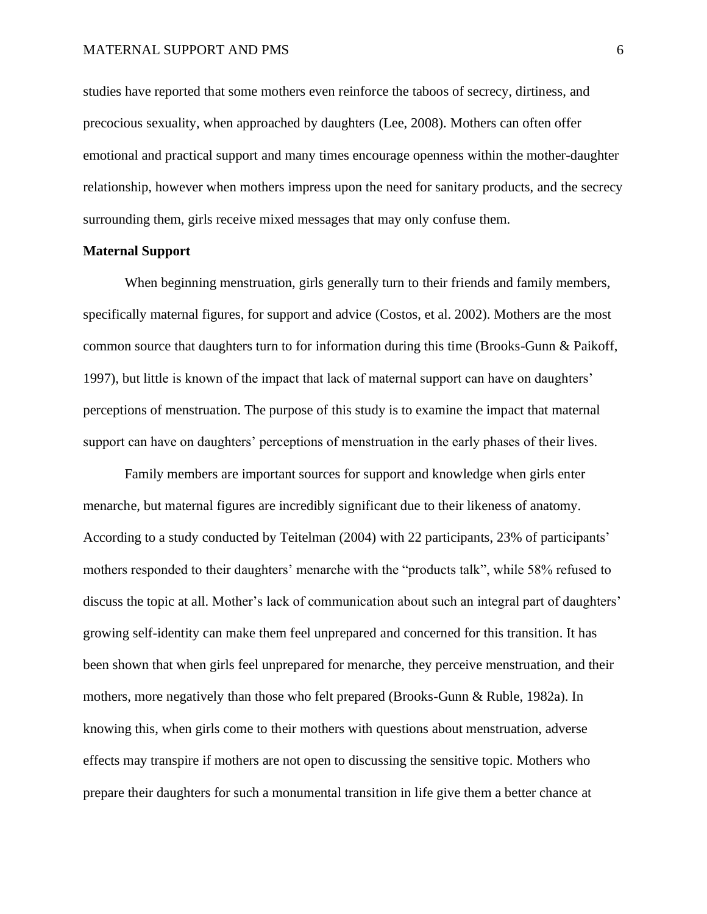studies have reported that some mothers even reinforce the taboos of secrecy, dirtiness, and precocious sexuality, when approached by daughters (Lee, 2008). Mothers can often offer emotional and practical support and many times encourage openness within the mother-daughter relationship, however when mothers impress upon the need for sanitary products, and the secrecy surrounding them, girls receive mixed messages that may only confuse them.

#### **Maternal Support**

When beginning menstruation, girls generally turn to their friends and family members, specifically maternal figures, for support and advice (Costos, et al. 2002). Mothers are the most common source that daughters turn to for information during this time (Brooks-Gunn & Paikoff, 1997), but little is known of the impact that lack of maternal support can have on daughters' perceptions of menstruation. The purpose of this study is to examine the impact that maternal support can have on daughters' perceptions of menstruation in the early phases of their lives.

Family members are important sources for support and knowledge when girls enter menarche, but maternal figures are incredibly significant due to their likeness of anatomy. According to a study conducted by Teitelman (2004) with 22 participants, 23% of participants' mothers responded to their daughters' menarche with the "products talk", while 58% refused to discuss the topic at all. Mother's lack of communication about such an integral part of daughters' growing self-identity can make them feel unprepared and concerned for this transition. It has been shown that when girls feel unprepared for menarche, they perceive menstruation, and their mothers, more negatively than those who felt prepared (Brooks-Gunn & Ruble, 1982a). In knowing this, when girls come to their mothers with questions about menstruation, adverse effects may transpire if mothers are not open to discussing the sensitive topic. Mothers who prepare their daughters for such a monumental transition in life give them a better chance at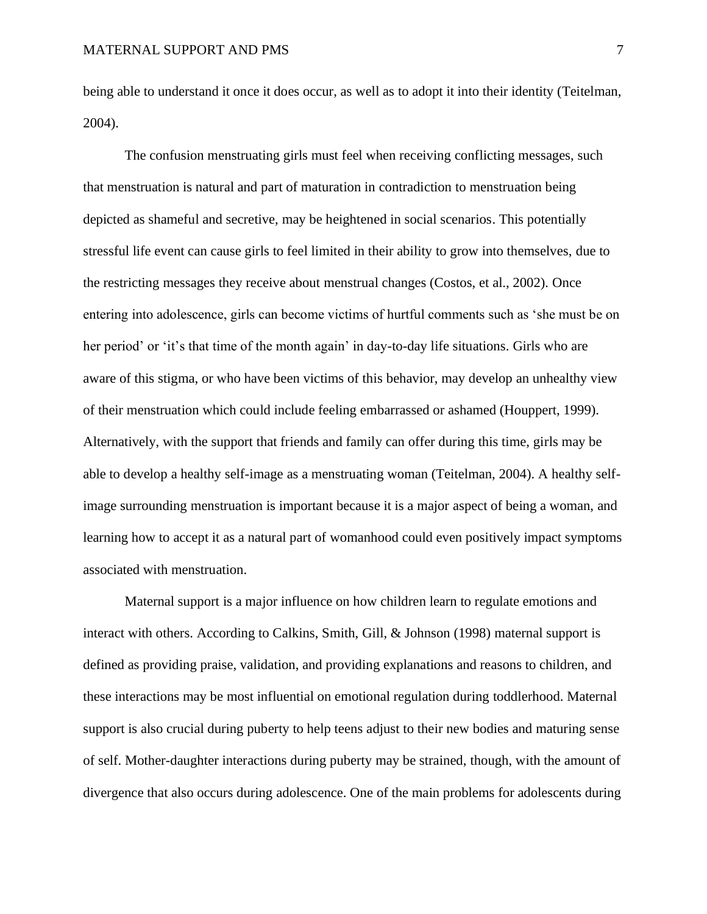being able to understand it once it does occur, as well as to adopt it into their identity (Teitelman, 2004).

The confusion menstruating girls must feel when receiving conflicting messages, such that menstruation is natural and part of maturation in contradiction to menstruation being depicted as shameful and secretive, may be heightened in social scenarios. This potentially stressful life event can cause girls to feel limited in their ability to grow into themselves, due to the restricting messages they receive about menstrual changes (Costos, et al., 2002). Once entering into adolescence, girls can become victims of hurtful comments such as 'she must be on her period' or 'it's that time of the month again' in day-to-day life situations. Girls who are aware of this stigma, or who have been victims of this behavior, may develop an unhealthy view of their menstruation which could include feeling embarrassed or ashamed (Houppert, 1999). Alternatively, with the support that friends and family can offer during this time, girls may be able to develop a healthy self-image as a menstruating woman (Teitelman, 2004). A healthy selfimage surrounding menstruation is important because it is a major aspect of being a woman, and learning how to accept it as a natural part of womanhood could even positively impact symptoms associated with menstruation.

Maternal support is a major influence on how children learn to regulate emotions and interact with others. According to Calkins, Smith, Gill, & Johnson (1998) maternal support is defined as providing praise, validation, and providing explanations and reasons to children, and these interactions may be most influential on emotional regulation during toddlerhood. Maternal support is also crucial during puberty to help teens adjust to their new bodies and maturing sense of self. Mother-daughter interactions during puberty may be strained, though, with the amount of divergence that also occurs during adolescence. One of the main problems for adolescents during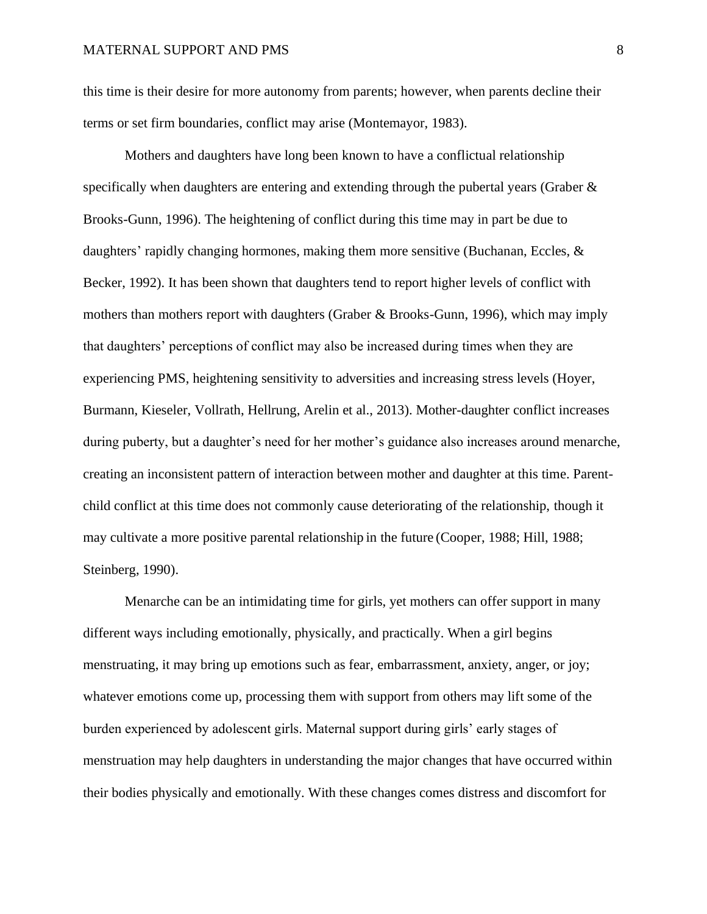this time is their desire for more autonomy from parents; however, when parents decline their terms or set firm boundaries, conflict may arise (Montemayor, 1983).

Mothers and daughters have long been known to have a conflictual relationship specifically when daughters are entering and extending through the pubertal years (Graber & Brooks-Gunn, 1996). The heightening of conflict during this time may in part be due to daughters' rapidly changing hormones, making them more sensitive (Buchanan, Eccles, & Becker, 1992). It has been shown that daughters tend to report higher levels of conflict with mothers than mothers report with daughters (Graber & Brooks-Gunn, 1996), which may imply that daughters' perceptions of conflict may also be increased during times when they are experiencing PMS, heightening sensitivity to adversities and increasing stress levels (Hoyer, Burmann, Kieseler, Vollrath, Hellrung, Arelin et al., 2013). Mother-daughter conflict increases during puberty, but a daughter's need for her mother's guidance also increases around menarche, creating an inconsistent pattern of interaction between mother and daughter at this time. Parentchild conflict at this time does not commonly cause deteriorating of the relationship, though it may cultivate a more positive parental relationship in the future (Cooper, 1988; Hill, 1988; Steinberg, 1990).

Menarche can be an intimidating time for girls, yet mothers can offer support in many different ways including emotionally, physically, and practically. When a girl begins menstruating, it may bring up emotions such as fear, embarrassment, anxiety, anger, or joy; whatever emotions come up, processing them with support from others may lift some of the burden experienced by adolescent girls. Maternal support during girls' early stages of menstruation may help daughters in understanding the major changes that have occurred within their bodies physically and emotionally. With these changes comes distress and discomfort for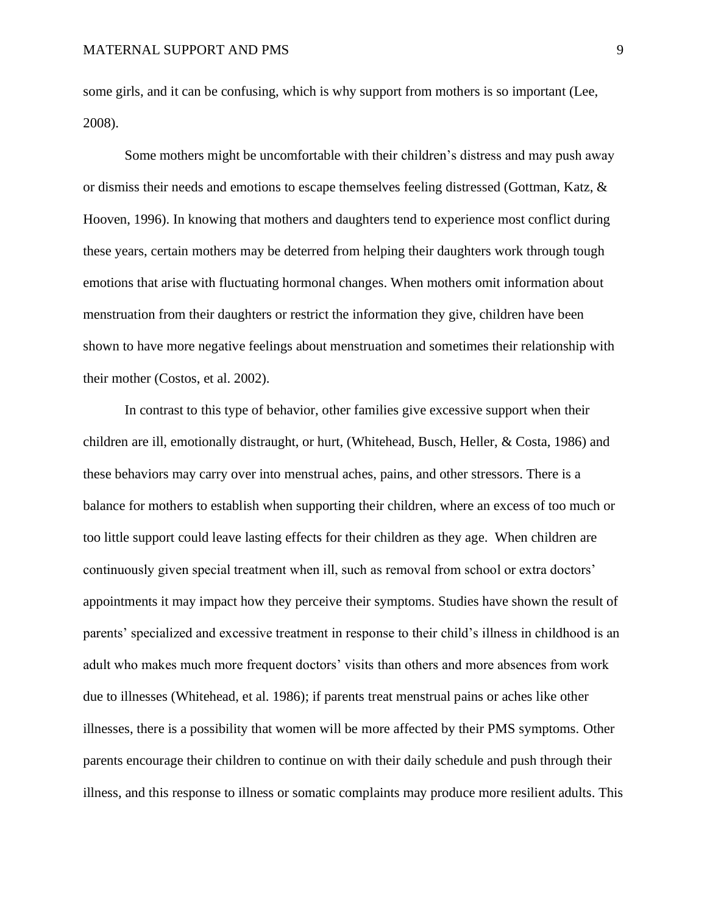some girls, and it can be confusing, which is why support from mothers is so important (Lee, 2008).

Some mothers might be uncomfortable with their children's distress and may push away or dismiss their needs and emotions to escape themselves feeling distressed (Gottman, Katz, & Hooven, 1996). In knowing that mothers and daughters tend to experience most conflict during these years, certain mothers may be deterred from helping their daughters work through tough emotions that arise with fluctuating hormonal changes. When mothers omit information about menstruation from their daughters or restrict the information they give, children have been shown to have more negative feelings about menstruation and sometimes their relationship with their mother (Costos, et al. 2002).

In contrast to this type of behavior, other families give excessive support when their children are ill, emotionally distraught, or hurt, (Whitehead, Busch, Heller, & Costa, 1986) and these behaviors may carry over into menstrual aches, pains, and other stressors. There is a balance for mothers to establish when supporting their children, where an excess of too much or too little support could leave lasting effects for their children as they age. When children are continuously given special treatment when ill, such as removal from school or extra doctors' appointments it may impact how they perceive their symptoms. Studies have shown the result of parents' specialized and excessive treatment in response to their child's illness in childhood is an adult who makes much more frequent doctors' visits than others and more absences from work due to illnesses (Whitehead, et al. 1986); if parents treat menstrual pains or aches like other illnesses, there is a possibility that women will be more affected by their PMS symptoms. Other parents encourage their children to continue on with their daily schedule and push through their illness, and this response to illness or somatic complaints may produce more resilient adults. This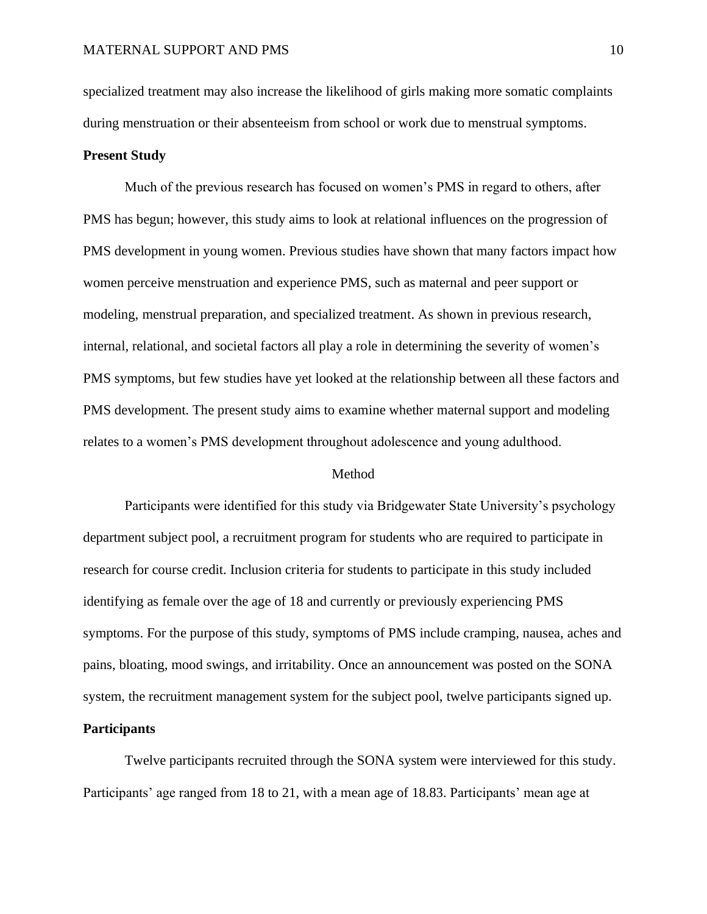specialized treatment may also increase the likelihood of girls making more somatic complaints during menstruation or their absenteeism from school or work due to menstrual symptoms.

### **Present Study**

Much of the previous research has focused on women's PMS in regard to others, after PMS has begun; however, this study aims to look at relational influences on the progression of PMS development in young women. Previous studies have shown that many factors impact how women perceive menstruation and experience PMS, such as maternal and peer support or modeling, menstrual preparation, and specialized treatment. As shown in previous research, internal, relational, and societal factors all play a role in determining the severity of women's PMS symptoms, but few studies have yet looked at the relationship between all these factors and PMS development. The present study aims to examine whether maternal support and modeling relates to a women's PMS development throughout adolescence and young adulthood.

#### Method

Participants were identified for this study via Bridgewater State University's psychology department subject pool, a recruitment program for students who are required to participate in research for course credit. Inclusion criteria for students to participate in this study included identifying as female over the age of 18 and currently or previously experiencing PMS symptoms. For the purpose of this study, symptoms of PMS include cramping, nausea, aches and pains, bloating, mood swings, and irritability. Once an announcement was posted on the SONA system, the recruitment management system for the subject pool, twelve participants signed up.

## **Participants**

Twelve participants recruited through the SONA system were interviewed for this study. Participants' age ranged from 18 to 21, with a mean age of 18.83. Participants' mean age at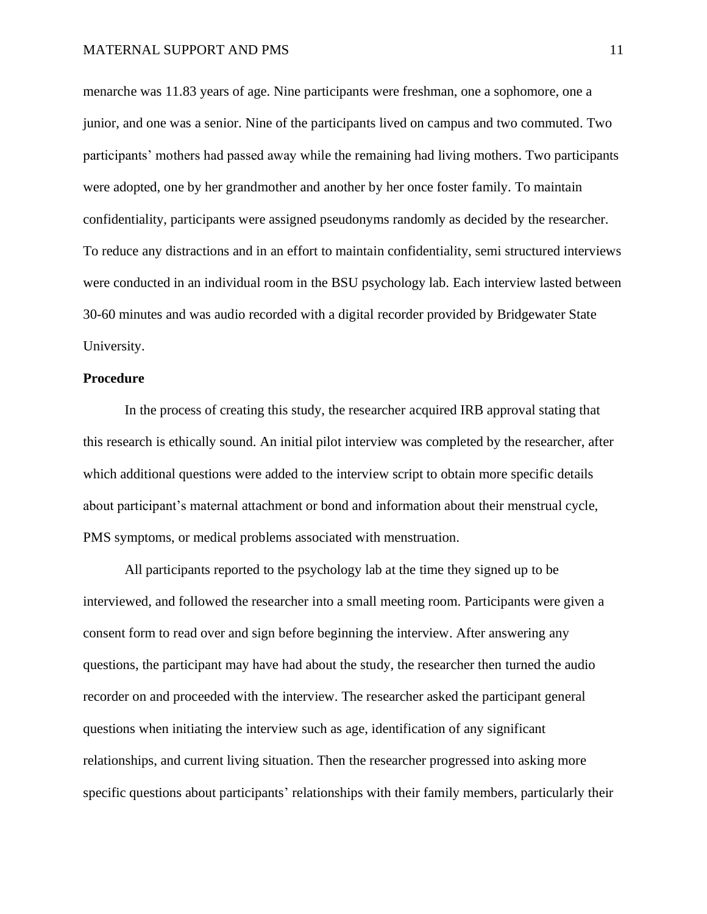menarche was 11.83 years of age. Nine participants were freshman, one a sophomore, one a junior, and one was a senior. Nine of the participants lived on campus and two commuted. Two participants' mothers had passed away while the remaining had living mothers. Two participants were adopted, one by her grandmother and another by her once foster family. To maintain confidentiality, participants were assigned pseudonyms randomly as decided by the researcher. To reduce any distractions and in an effort to maintain confidentiality, semi structured interviews were conducted in an individual room in the BSU psychology lab. Each interview lasted between 30-60 minutes and was audio recorded with a digital recorder provided by Bridgewater State University.

#### **Procedure**

In the process of creating this study, the researcher acquired IRB approval stating that this research is ethically sound. An initial pilot interview was completed by the researcher, after which additional questions were added to the interview script to obtain more specific details about participant's maternal attachment or bond and information about their menstrual cycle, PMS symptoms, or medical problems associated with menstruation.

All participants reported to the psychology lab at the time they signed up to be interviewed, and followed the researcher into a small meeting room. Participants were given a consent form to read over and sign before beginning the interview. After answering any questions, the participant may have had about the study, the researcher then turned the audio recorder on and proceeded with the interview. The researcher asked the participant general questions when initiating the interview such as age, identification of any significant relationships, and current living situation. Then the researcher progressed into asking more specific questions about participants' relationships with their family members, particularly their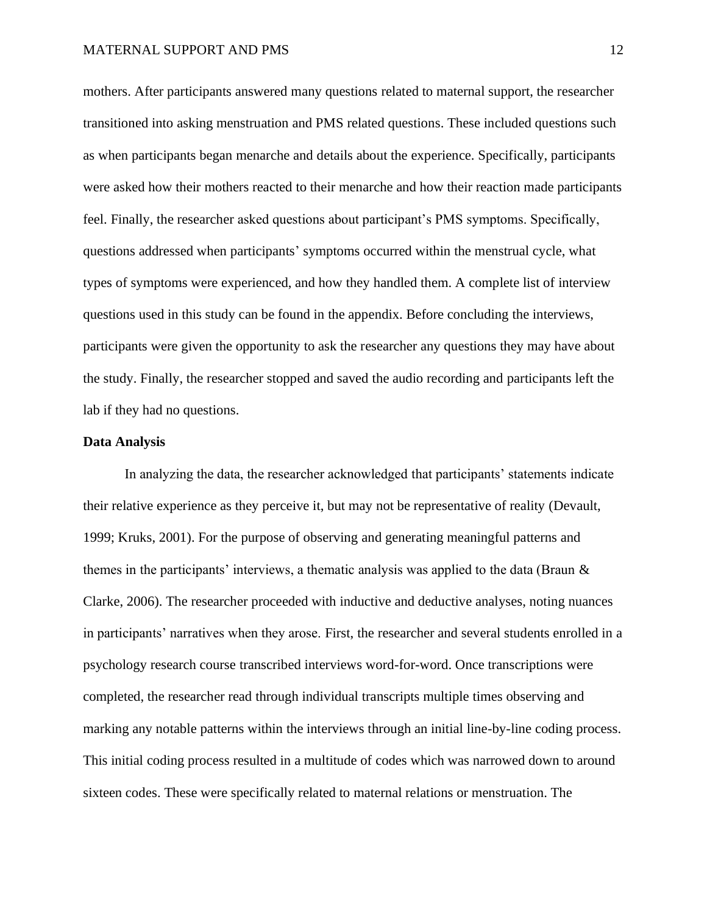mothers. After participants answered many questions related to maternal support, the researcher transitioned into asking menstruation and PMS related questions. These included questions such as when participants began menarche and details about the experience. Specifically, participants were asked how their mothers reacted to their menarche and how their reaction made participants feel. Finally, the researcher asked questions about participant's PMS symptoms. Specifically, questions addressed when participants' symptoms occurred within the menstrual cycle, what types of symptoms were experienced, and how they handled them. A complete list of interview questions used in this study can be found in the appendix. Before concluding the interviews, participants were given the opportunity to ask the researcher any questions they may have about the study. Finally, the researcher stopped and saved the audio recording and participants left the lab if they had no questions.

### **Data Analysis**

In analyzing the data, the researcher acknowledged that participants' statements indicate their relative experience as they perceive it, but may not be representative of reality (Devault, 1999; Kruks, 2001). For the purpose of observing and generating meaningful patterns and themes in the participants' interviews, a thematic analysis was applied to the data (Braun & Clarke, 2006). The researcher proceeded with inductive and deductive analyses, noting nuances in participants' narratives when they arose. First, the researcher and several students enrolled in a psychology research course transcribed interviews word-for-word. Once transcriptions were completed, the researcher read through individual transcripts multiple times observing and marking any notable patterns within the interviews through an initial line-by-line coding process. This initial coding process resulted in a multitude of codes which was narrowed down to around sixteen codes. These were specifically related to maternal relations or menstruation. The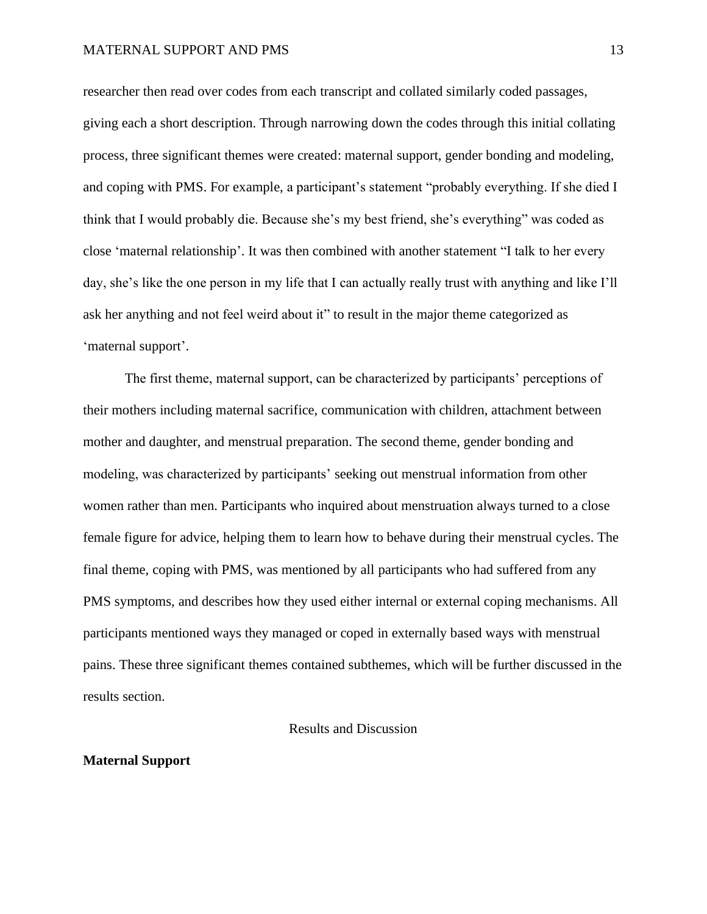researcher then read over codes from each transcript and collated similarly coded passages, giving each a short description. Through narrowing down the codes through this initial collating process, three significant themes were created: maternal support, gender bonding and modeling, and coping with PMS. For example, a participant's statement "probably everything. If she died I think that I would probably die. Because she's my best friend, she's everything" was coded as close 'maternal relationship'. It was then combined with another statement "I talk to her every day, she's like the one person in my life that I can actually really trust with anything and like I'll ask her anything and not feel weird about it" to result in the major theme categorized as 'maternal support'.

The first theme, maternal support, can be characterized by participants' perceptions of their mothers including maternal sacrifice, communication with children, attachment between mother and daughter, and menstrual preparation. The second theme, gender bonding and modeling, was characterized by participants' seeking out menstrual information from other women rather than men. Participants who inquired about menstruation always turned to a close female figure for advice, helping them to learn how to behave during their menstrual cycles. The final theme, coping with PMS, was mentioned by all participants who had suffered from any PMS symptoms, and describes how they used either internal or external coping mechanisms. All participants mentioned ways they managed or coped in externally based ways with menstrual pains. These three significant themes contained subthemes, which will be further discussed in the results section.

#### Results and Discussion

#### **Maternal Support**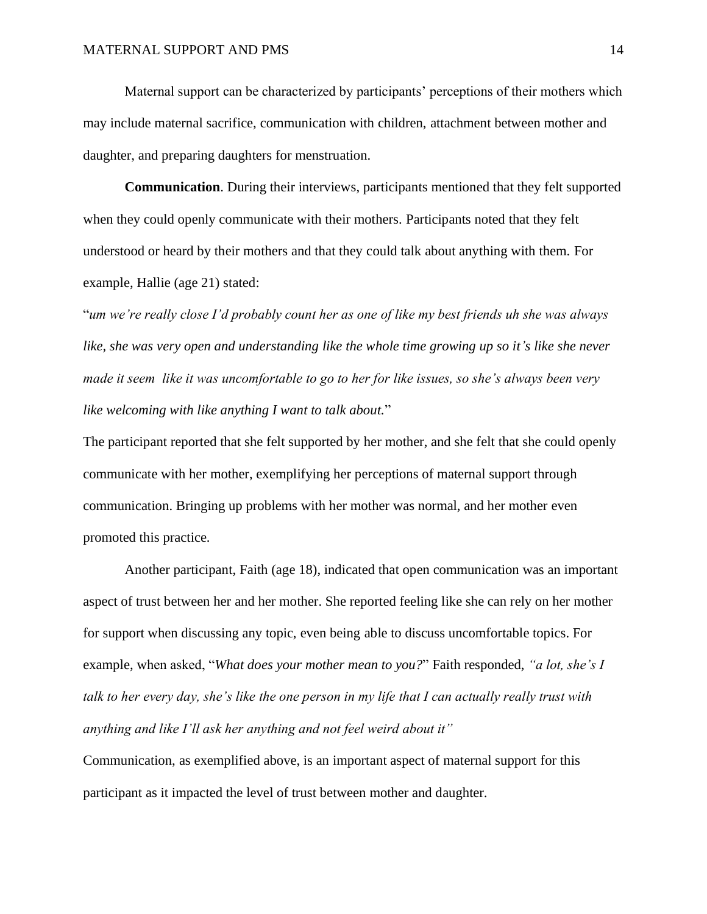Maternal support can be characterized by participants' perceptions of their mothers which may include maternal sacrifice, communication with children, attachment between mother and daughter, and preparing daughters for menstruation.

**Communication**. During their interviews, participants mentioned that they felt supported when they could openly communicate with their mothers. Participants noted that they felt understood or heard by their mothers and that they could talk about anything with them. For example, Hallie (age 21) stated:

"*um we're really close I'd probably count her as one of like my best friends uh she was always like, she was very open and understanding like the whole time growing up so it's like she never made it seem like it was uncomfortable to go to her for like issues, so she's always been very like welcoming with like anything I want to talk about.*"

The participant reported that she felt supported by her mother, and she felt that she could openly communicate with her mother, exemplifying her perceptions of maternal support through communication. Bringing up problems with her mother was normal, and her mother even promoted this practice.

Another participant, Faith (age 18), indicated that open communication was an important aspect of trust between her and her mother. She reported feeling like she can rely on her mother for support when discussing any topic, even being able to discuss uncomfortable topics. For example, when asked, "*What does your mother mean to you?*" Faith responded, *"a lot, she's I talk to her every day, she's like the one person in my life that I can actually really trust with anything and like I'll ask her anything and not feel weird about it"*

Communication, as exemplified above, is an important aspect of maternal support for this participant as it impacted the level of trust between mother and daughter.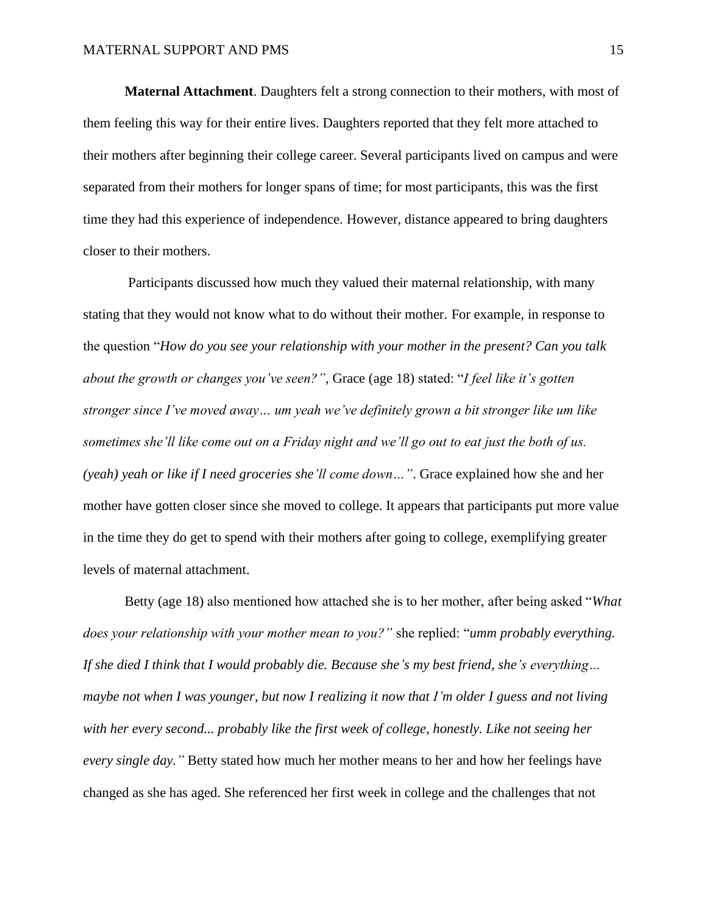**Maternal Attachment**. Daughters felt a strong connection to their mothers, with most of them feeling this way for their entire lives. Daughters reported that they felt more attached to their mothers after beginning their college career. Several participants lived on campus and were separated from their mothers for longer spans of time; for most participants, this was the first time they had this experience of independence. However, distance appeared to bring daughters closer to their mothers.

Participants discussed how much they valued their maternal relationship, with many stating that they would not know what to do without their mother. For example, in response to the question "*How do you see your relationship with your mother in the present? Can you talk about the growth or changes you've seen?"*, Grace (age 18) stated: "*I feel like it's gotten stronger since I've moved away… um yeah we've definitely grown a bit stronger like um like sometimes she'll like come out on a Friday night and we'll go out to eat just the both of us. (yeah) yeah or like if I need groceries she'll come down…"*. Grace explained how she and her mother have gotten closer since she moved to college. It appears that participants put more value in the time they do get to spend with their mothers after going to college, exemplifying greater levels of maternal attachment.

Betty (age 18) also mentioned how attached she is to her mother, after being asked "*What does your relationship with your mother mean to you?"* she replied: "*umm probably everything. If she died I think that I would probably die. Because she's my best friend, she's everything… maybe not when I was younger, but now I realizing it now that I'm older I guess and not living with her every second... probably like the first week of college, honestly. Like not seeing her every single day."* Betty stated how much her mother means to her and how her feelings have changed as she has aged. She referenced her first week in college and the challenges that not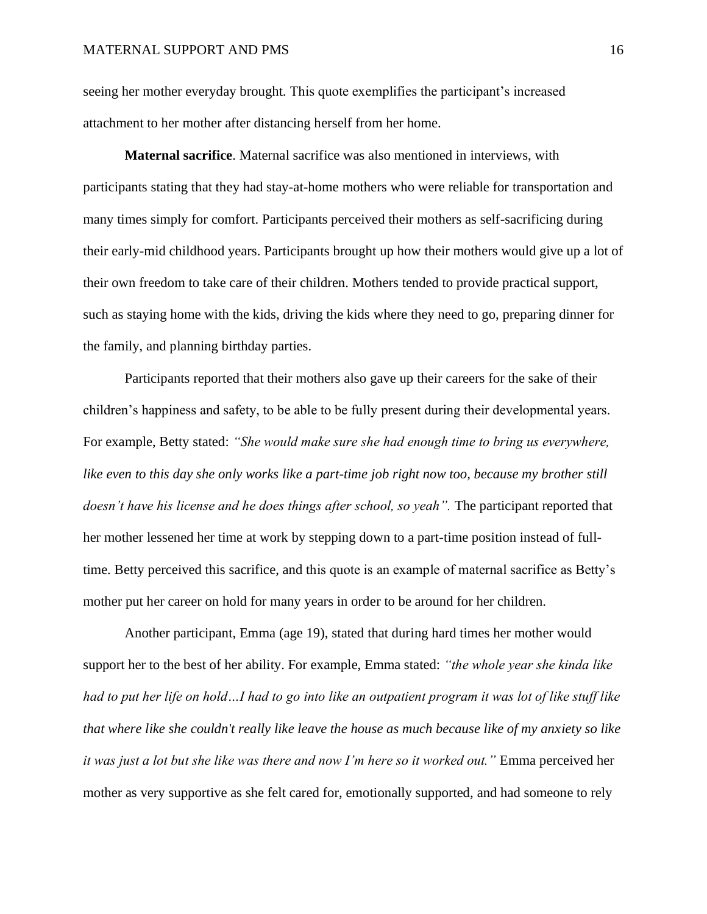seeing her mother everyday brought. This quote exemplifies the participant's increased attachment to her mother after distancing herself from her home.

**Maternal sacrifice**. Maternal sacrifice was also mentioned in interviews, with participants stating that they had stay-at-home mothers who were reliable for transportation and many times simply for comfort. Participants perceived their mothers as self-sacrificing during their early-mid childhood years. Participants brought up how their mothers would give up a lot of their own freedom to take care of their children. Mothers tended to provide practical support, such as staying home with the kids, driving the kids where they need to go, preparing dinner for the family, and planning birthday parties.

Participants reported that their mothers also gave up their careers for the sake of their children's happiness and safety, to be able to be fully present during their developmental years. For example, Betty stated: *"She would make sure she had enough time to bring us everywhere, like even to this day she only works like a part-time job right now too, because my brother still doesn't have his license and he does things after school, so yeah".* The participant reported that her mother lessened her time at work by stepping down to a part-time position instead of fulltime. Betty perceived this sacrifice, and this quote is an example of maternal sacrifice as Betty's mother put her career on hold for many years in order to be around for her children.

Another participant, Emma (age 19), stated that during hard times her mother would support her to the best of her ability. For example, Emma stated: *"the whole year she kinda like*  had to put her life on hold...I had to go into like an outpatient program it was lot of like stuff like *that where like she couldn't really like leave the house as much because like of my anxiety so like it was just a lot but she like was there and now I'm here so it worked out."* Emma perceived her mother as very supportive as she felt cared for, emotionally supported, and had someone to rely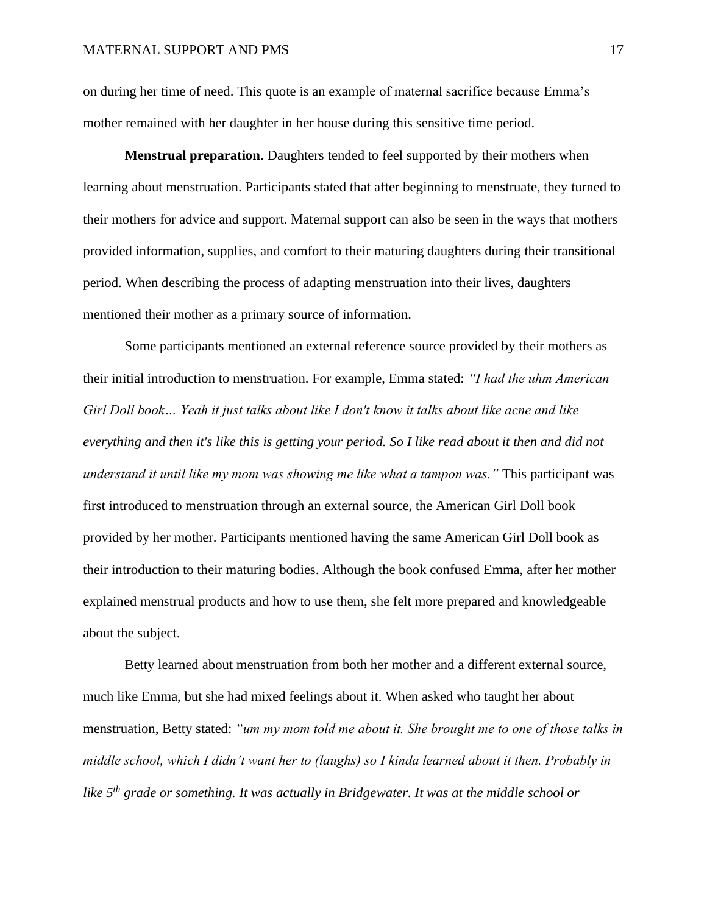on during her time of need. This quote is an example of maternal sacrifice because Emma's mother remained with her daughter in her house during this sensitive time period.

**Menstrual preparation**. Daughters tended to feel supported by their mothers when learning about menstruation. Participants stated that after beginning to menstruate, they turned to their mothers for advice and support. Maternal support can also be seen in the ways that mothers provided information, supplies, and comfort to their maturing daughters during their transitional period. When describing the process of adapting menstruation into their lives, daughters mentioned their mother as a primary source of information.

Some participants mentioned an external reference source provided by their mothers as their initial introduction to menstruation. For example, Emma stated: *"I had the uhm American Girl Doll book… Yeah it just talks about like I don't know it talks about like acne and like everything and then it's like this is getting your period. So I like read about it then and did not understand it until like my mom was showing me like what a tampon was."* This participant was first introduced to menstruation through an external source, the American Girl Doll book provided by her mother. Participants mentioned having the same American Girl Doll book as their introduction to their maturing bodies. Although the book confused Emma, after her mother explained menstrual products and how to use them, she felt more prepared and knowledgeable about the subject.

Betty learned about menstruation from both her mother and a different external source, much like Emma, but she had mixed feelings about it. When asked who taught her about menstruation, Betty stated: *"um my mom told me about it. She brought me to one of those talks in middle school, which I didn't want her to (laughs) so I kinda learned about it then. Probably in like 5th grade or something. It was actually in Bridgewater. It was at the middle school or*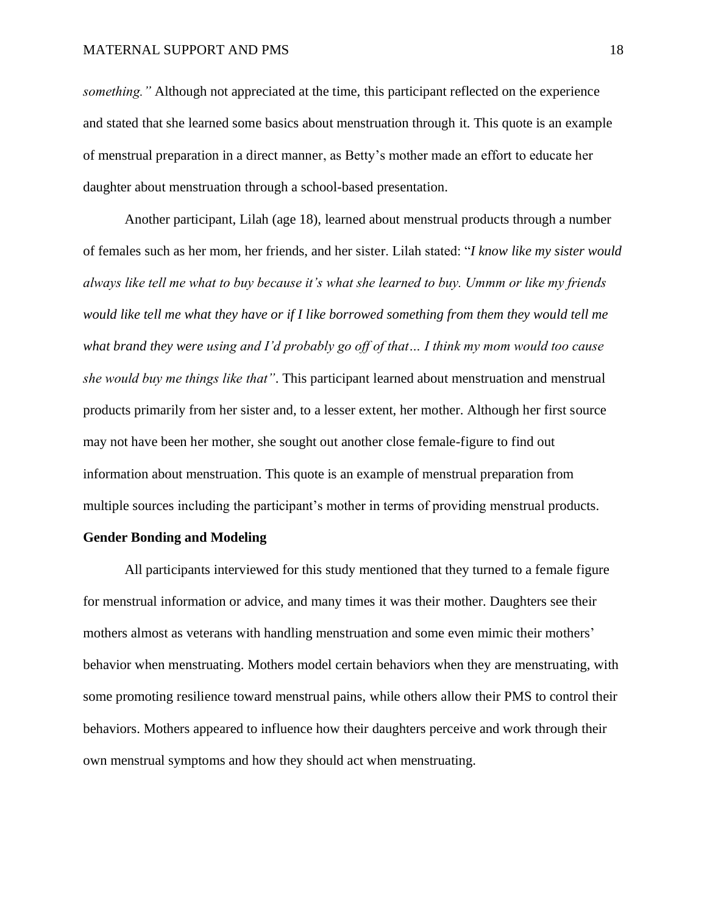*something."* Although not appreciated at the time, this participant reflected on the experience and stated that she learned some basics about menstruation through it. This quote is an example of menstrual preparation in a direct manner, as Betty's mother made an effort to educate her daughter about menstruation through a school-based presentation.

Another participant, Lilah (age 18), learned about menstrual products through a number of females such as her mom, her friends, and her sister. Lilah stated: "*I know like my sister would always like tell me what to buy because it's what she learned to buy. Ummm or like my friends would like tell me what they have or if I like borrowed something from them they would tell me what brand they were using and I'd probably go off of that… I think my mom would too cause she would buy me things like that"*. This participant learned about menstruation and menstrual products primarily from her sister and, to a lesser extent, her mother. Although her first source may not have been her mother, she sought out another close female-figure to find out information about menstruation. This quote is an example of menstrual preparation from multiple sources including the participant's mother in terms of providing menstrual products.

## **Gender Bonding and Modeling**

All participants interviewed for this study mentioned that they turned to a female figure for menstrual information or advice, and many times it was their mother. Daughters see their mothers almost as veterans with handling menstruation and some even mimic their mothers' behavior when menstruating. Mothers model certain behaviors when they are menstruating, with some promoting resilience toward menstrual pains, while others allow their PMS to control their behaviors. Mothers appeared to influence how their daughters perceive and work through their own menstrual symptoms and how they should act when menstruating.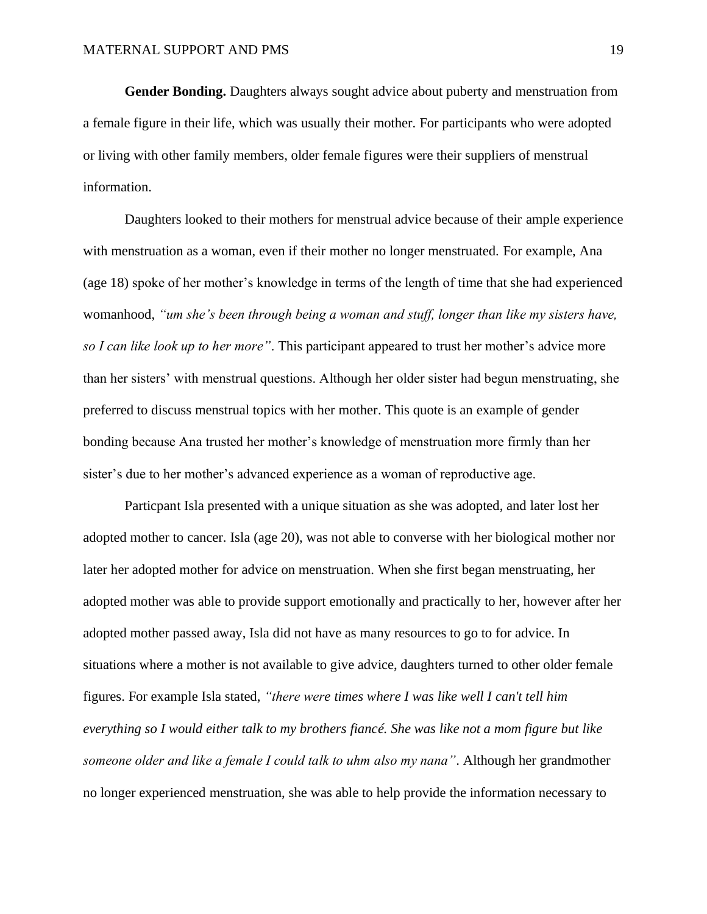**Gender Bonding.** Daughters always sought advice about puberty and menstruation from a female figure in their life, which was usually their mother. For participants who were adopted or living with other family members, older female figures were their suppliers of menstrual information.

Daughters looked to their mothers for menstrual advice because of their ample experience with menstruation as a woman, even if their mother no longer menstruated. For example, Ana (age 18) spoke of her mother's knowledge in terms of the length of time that she had experienced womanhood, *"um she's been through being a woman and stuff, longer than like my sisters have, so I can like look up to her more"*. This participant appeared to trust her mother's advice more than her sisters' with menstrual questions. Although her older sister had begun menstruating, she preferred to discuss menstrual topics with her mother. This quote is an example of gender bonding because Ana trusted her mother's knowledge of menstruation more firmly than her sister's due to her mother's advanced experience as a woman of reproductive age.

Particpant Isla presented with a unique situation as she was adopted, and later lost her adopted mother to cancer. Isla (age 20), was not able to converse with her biological mother nor later her adopted mother for advice on menstruation. When she first began menstruating, her adopted mother was able to provide support emotionally and practically to her, however after her adopted mother passed away, Isla did not have as many resources to go to for advice. In situations where a mother is not available to give advice, daughters turned to other older female figures. For example Isla stated, *"there were times where I was like well I can't tell him everything so I would either talk to my brothers fiancé. She was like not a mom figure but like someone older and like a female I could talk to uhm also my nana"*. Although her grandmother no longer experienced menstruation, she was able to help provide the information necessary to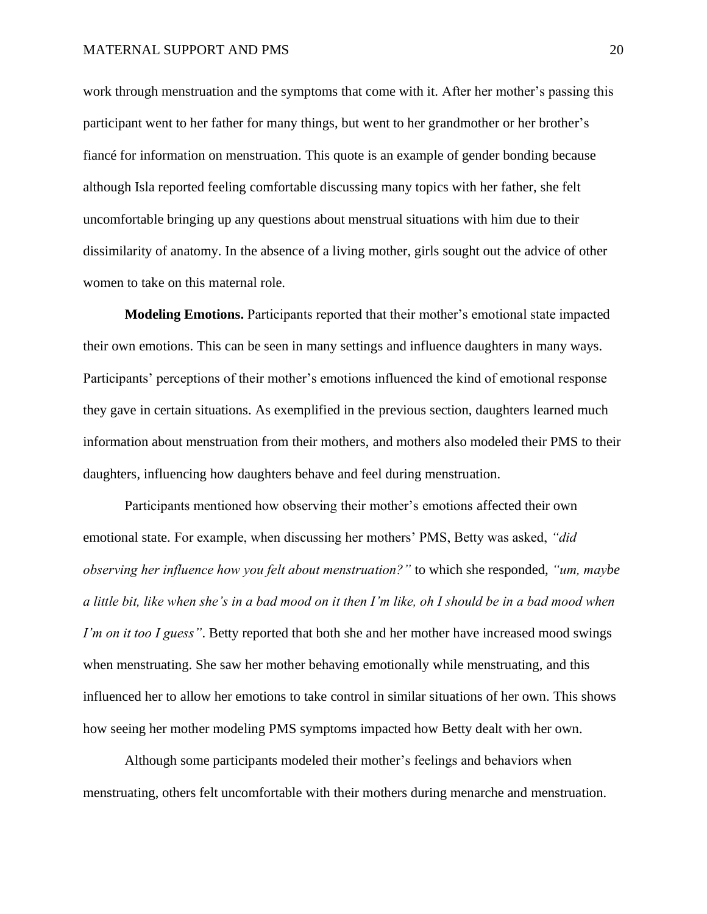work through menstruation and the symptoms that come with it. After her mother's passing this participant went to her father for many things, but went to her grandmother or her brother's fiancé for information on menstruation. This quote is an example of gender bonding because although Isla reported feeling comfortable discussing many topics with her father, she felt uncomfortable bringing up any questions about menstrual situations with him due to their dissimilarity of anatomy. In the absence of a living mother, girls sought out the advice of other women to take on this maternal role.

**Modeling Emotions.** Participants reported that their mother's emotional state impacted their own emotions. This can be seen in many settings and influence daughters in many ways. Participants' perceptions of their mother's emotions influenced the kind of emotional response they gave in certain situations. As exemplified in the previous section, daughters learned much information about menstruation from their mothers, and mothers also modeled their PMS to their daughters, influencing how daughters behave and feel during menstruation.

Participants mentioned how observing their mother's emotions affected their own emotional state. For example, when discussing her mothers' PMS, Betty was asked, *"did observing her influence how you felt about menstruation?"* to which she responded, *"um, maybe a little bit, like when she's in a bad mood on it then I'm like, oh I should be in a bad mood when I'm on it too I guess"*. Betty reported that both she and her mother have increased mood swings when menstruating. She saw her mother behaving emotionally while menstruating, and this influenced her to allow her emotions to take control in similar situations of her own. This shows how seeing her mother modeling PMS symptoms impacted how Betty dealt with her own.

Although some participants modeled their mother's feelings and behaviors when menstruating, others felt uncomfortable with their mothers during menarche and menstruation.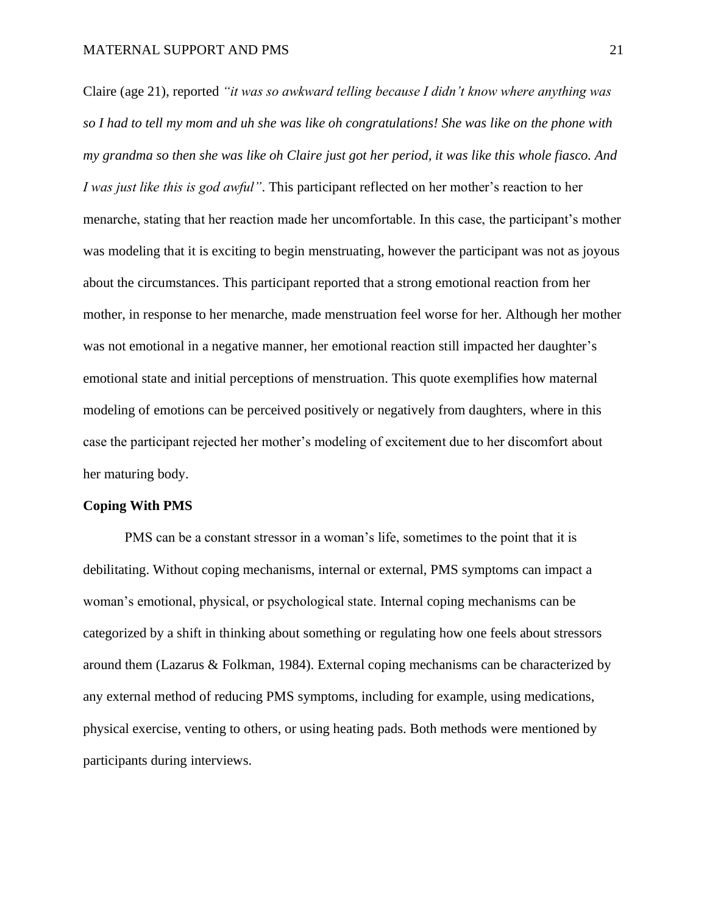Claire (age 21), reported *"it was so awkward telling because I didn't know where anything was so I had to tell my mom and uh she was like oh congratulations! She was like on the phone with my grandma so then she was like oh Claire just got her period, it was like this whole fiasco. And I was just like this is god awful"*. This participant reflected on her mother's reaction to her menarche, stating that her reaction made her uncomfortable. In this case, the participant's mother was modeling that it is exciting to begin menstruating, however the participant was not as joyous about the circumstances. This participant reported that a strong emotional reaction from her mother, in response to her menarche, made menstruation feel worse for her. Although her mother was not emotional in a negative manner, her emotional reaction still impacted her daughter's emotional state and initial perceptions of menstruation. This quote exemplifies how maternal modeling of emotions can be perceived positively or negatively from daughters, where in this case the participant rejected her mother's modeling of excitement due to her discomfort about her maturing body.

#### **Coping With PMS**

PMS can be a constant stressor in a woman's life, sometimes to the point that it is debilitating. Without coping mechanisms, internal or external, PMS symptoms can impact a woman's emotional, physical, or psychological state. Internal coping mechanisms can be categorized by a shift in thinking about something or regulating how one feels about stressors around them (Lazarus & Folkman, 1984). External coping mechanisms can be characterized by any external method of reducing PMS symptoms, including for example, using medications, physical exercise, venting to others, or using heating pads. Both methods were mentioned by participants during interviews.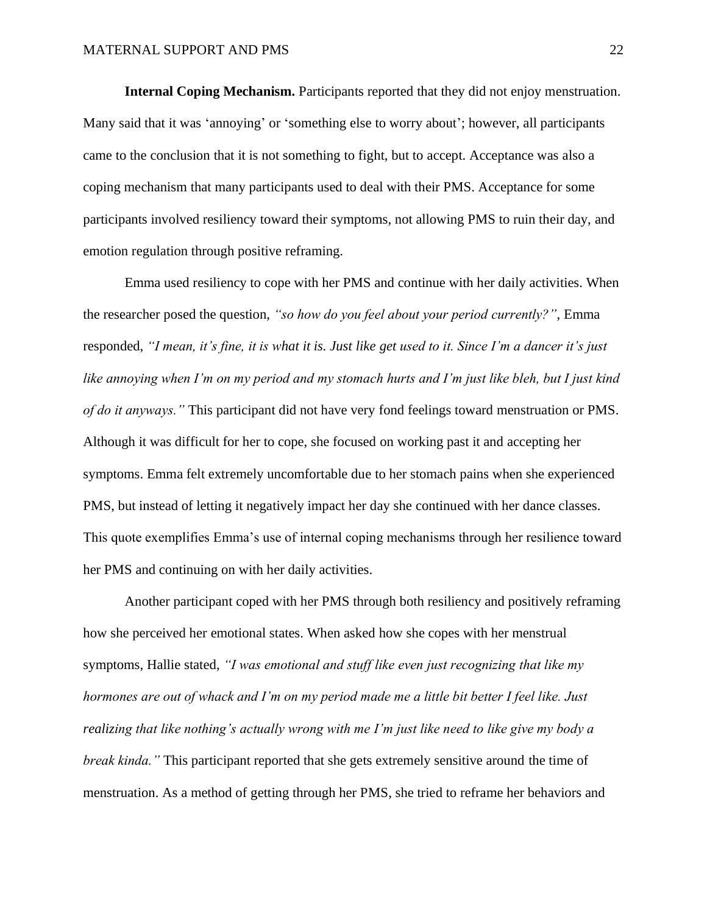**Internal Coping Mechanism.** Participants reported that they did not enjoy menstruation. Many said that it was 'annoying' or 'something else to worry about'; however, all participants came to the conclusion that it is not something to fight, but to accept. Acceptance was also a coping mechanism that many participants used to deal with their PMS. Acceptance for some participants involved resiliency toward their symptoms, not allowing PMS to ruin their day, and emotion regulation through positive reframing.

Emma used resiliency to cope with her PMS and continue with her daily activities. When the researcher posed the question, *"so how do you feel about your period currently?"*, Emma responded, *"I mean, it's fine, it is what it is. Just like get used to it. Since I'm a dancer it's just like annoying when I'm on my period and my stomach hurts and I'm just like bleh, but I just kind of do it anyways."* This participant did not have very fond feelings toward menstruation or PMS. Although it was difficult for her to cope, she focused on working past it and accepting her symptoms. Emma felt extremely uncomfortable due to her stomach pains when she experienced PMS, but instead of letting it negatively impact her day she continued with her dance classes. This quote exemplifies Emma's use of internal coping mechanisms through her resilience toward her PMS and continuing on with her daily activities.

Another participant coped with her PMS through both resiliency and positively reframing how she perceived her emotional states. When asked how she copes with her menstrual symptoms, Hallie stated, *"I was emotional and stuff like even just recognizing that like my hormones are out of whack and I'm on my period made me a little bit better I feel like. Just realizing that like nothing's actually wrong with me I'm just like need to like give my body a break kinda."* This participant reported that she gets extremely sensitive around the time of menstruation. As a method of getting through her PMS, she tried to reframe her behaviors and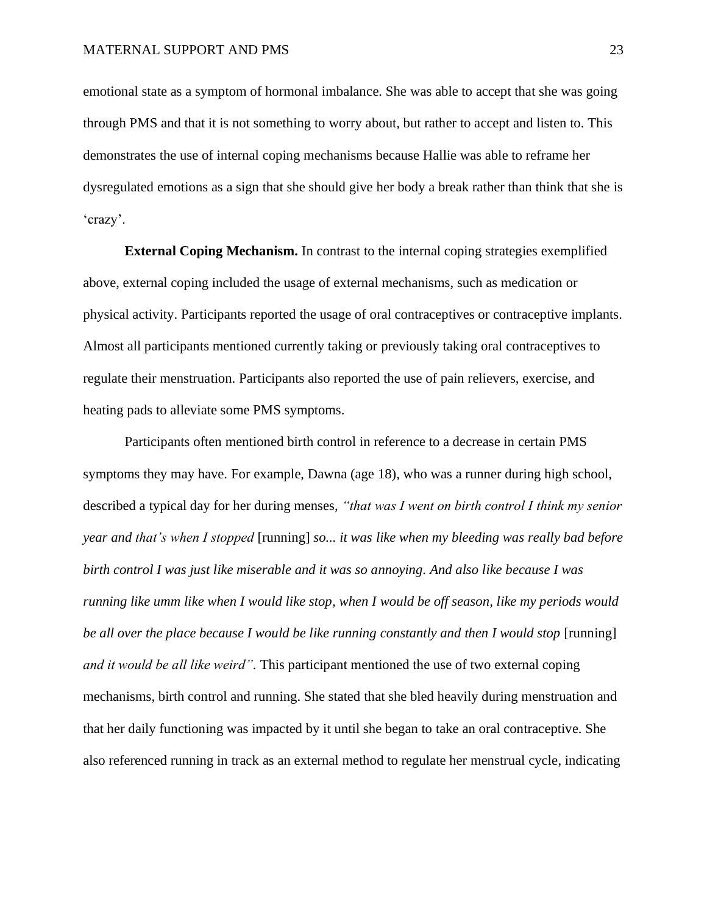emotional state as a symptom of hormonal imbalance. She was able to accept that she was going through PMS and that it is not something to worry about, but rather to accept and listen to. This demonstrates the use of internal coping mechanisms because Hallie was able to reframe her dysregulated emotions as a sign that she should give her body a break rather than think that she is 'crazy'.

**External Coping Mechanism.** In contrast to the internal coping strategies exemplified above, external coping included the usage of external mechanisms, such as medication or physical activity. Participants reported the usage of oral contraceptives or contraceptive implants. Almost all participants mentioned currently taking or previously taking oral contraceptives to regulate their menstruation. Participants also reported the use of pain relievers, exercise, and heating pads to alleviate some PMS symptoms.

Participants often mentioned birth control in reference to a decrease in certain PMS symptoms they may have. For example, Dawna (age 18), who was a runner during high school, described a typical day for her during menses, *"that was I went on birth control I think my senior year and that's when I stopped* [running] *so... it was like when my bleeding was really bad before birth control I was just like miserable and it was so annoying. And also like because I was running like umm like when I would like stop, when I would be off season, like my periods would be all over the place because I would be like running constantly and then I would stop* [running] *and it would be all like weird".* This participant mentioned the use of two external coping mechanisms, birth control and running. She stated that she bled heavily during menstruation and that her daily functioning was impacted by it until she began to take an oral contraceptive. She also referenced running in track as an external method to regulate her menstrual cycle, indicating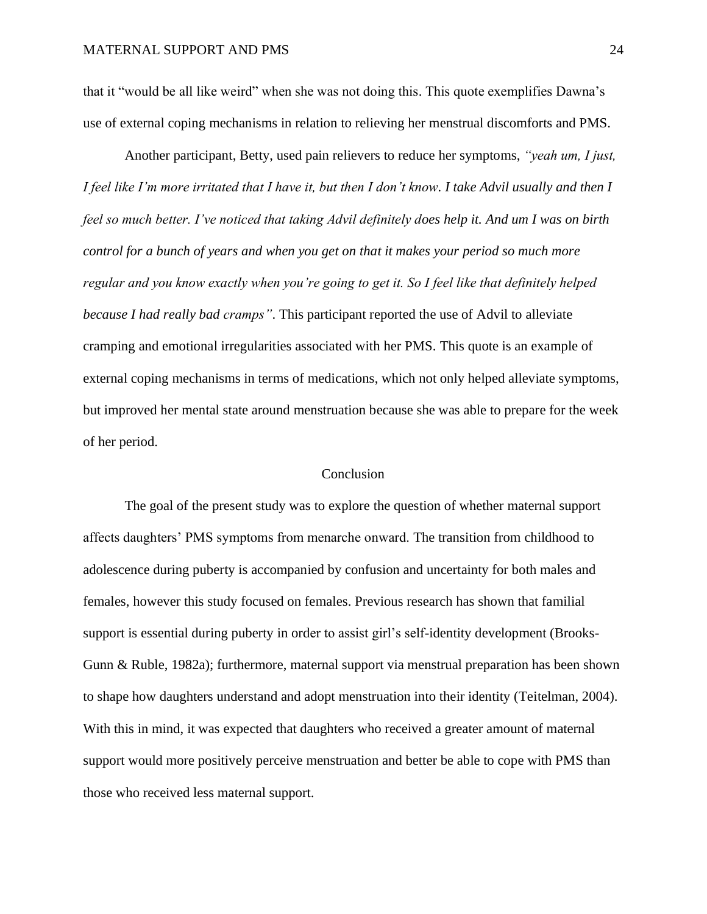that it "would be all like weird" when she was not doing this. This quote exemplifies Dawna's use of external coping mechanisms in relation to relieving her menstrual discomforts and PMS.

Another participant, Betty, used pain relievers to reduce her symptoms, *"yeah um, I just, I feel like I'm more irritated that I have it, but then I don't know. I take Advil usually and then I feel so much better. I've noticed that taking Advil definitely does help it. And um I was on birth control for a bunch of years and when you get on that it makes your period so much more regular and you know exactly when you're going to get it. So I feel like that definitely helped because I had really bad cramps"*. This participant reported the use of Advil to alleviate cramping and emotional irregularities associated with her PMS. This quote is an example of external coping mechanisms in terms of medications, which not only helped alleviate symptoms, but improved her mental state around menstruation because she was able to prepare for the week of her period.

#### Conclusion

The goal of the present study was to explore the question of whether maternal support affects daughters' PMS symptoms from menarche onward. The transition from childhood to adolescence during puberty is accompanied by confusion and uncertainty for both males and females, however this study focused on females. Previous research has shown that familial support is essential during puberty in order to assist girl's self-identity development (Brooks-Gunn & Ruble, 1982a); furthermore, maternal support via menstrual preparation has been shown to shape how daughters understand and adopt menstruation into their identity (Teitelman, 2004). With this in mind, it was expected that daughters who received a greater amount of maternal support would more positively perceive menstruation and better be able to cope with PMS than those who received less maternal support.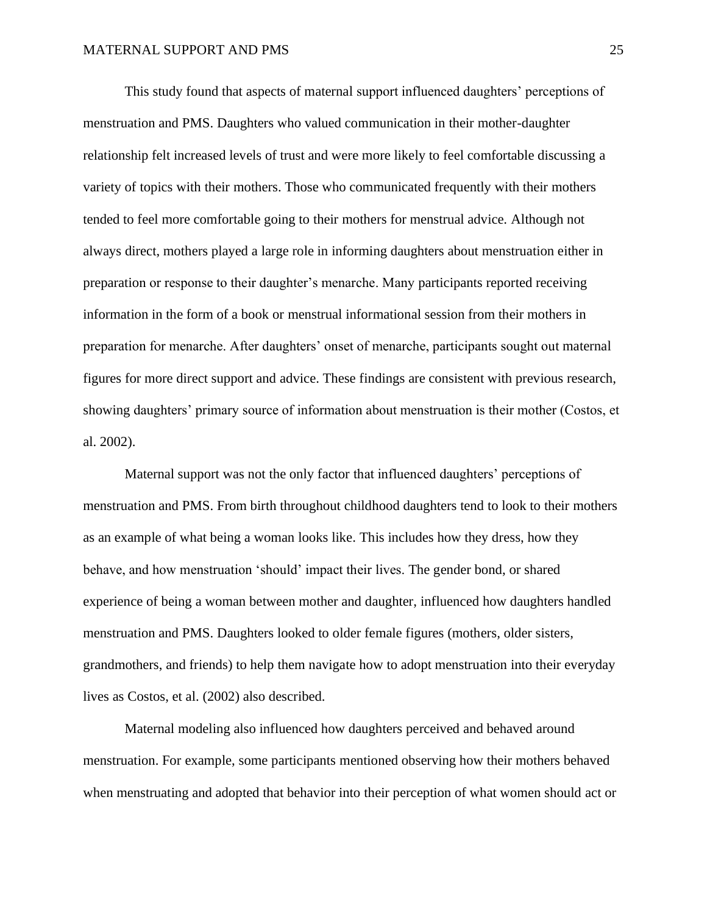This study found that aspects of maternal support influenced daughters' perceptions of menstruation and PMS. Daughters who valued communication in their mother-daughter relationship felt increased levels of trust and were more likely to feel comfortable discussing a variety of topics with their mothers. Those who communicated frequently with their mothers tended to feel more comfortable going to their mothers for menstrual advice. Although not always direct, mothers played a large role in informing daughters about menstruation either in preparation or response to their daughter's menarche. Many participants reported receiving information in the form of a book or menstrual informational session from their mothers in preparation for menarche. After daughters' onset of menarche, participants sought out maternal figures for more direct support and advice. These findings are consistent with previous research, showing daughters' primary source of information about menstruation is their mother (Costos, et al. 2002).

Maternal support was not the only factor that influenced daughters' perceptions of menstruation and PMS. From birth throughout childhood daughters tend to look to their mothers as an example of what being a woman looks like. This includes how they dress, how they behave, and how menstruation 'should' impact their lives. The gender bond, or shared experience of being a woman between mother and daughter, influenced how daughters handled menstruation and PMS. Daughters looked to older female figures (mothers, older sisters, grandmothers, and friends) to help them navigate how to adopt menstruation into their everyday lives as Costos, et al. (2002) also described.

Maternal modeling also influenced how daughters perceived and behaved around menstruation. For example, some participants mentioned observing how their mothers behaved when menstruating and adopted that behavior into their perception of what women should act or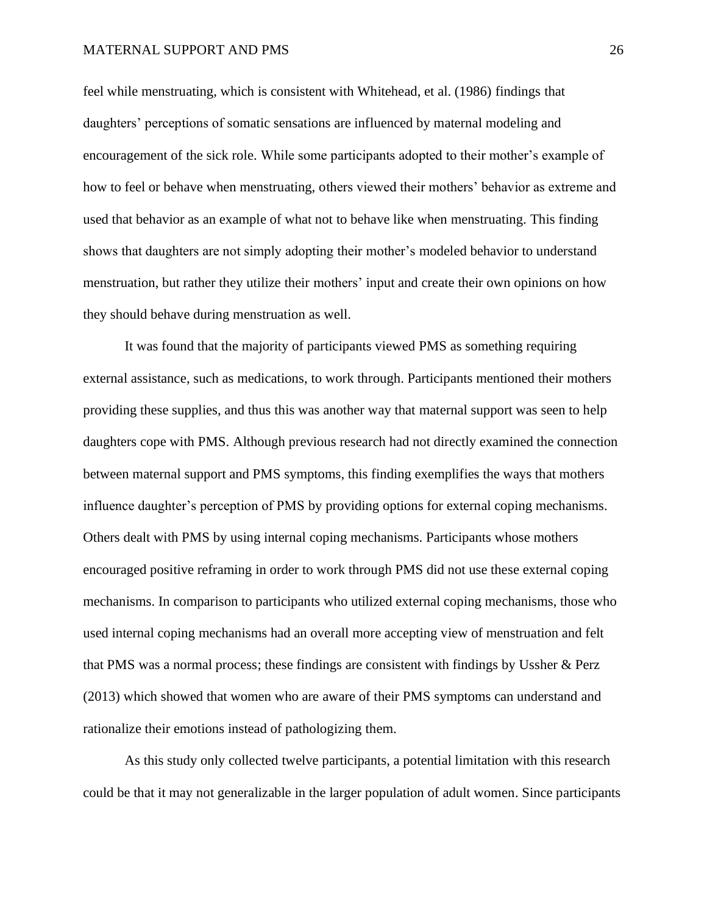feel while menstruating, which is consistent with Whitehead, et al. (1986) findings that daughters' perceptions of somatic sensations are influenced by maternal modeling and encouragement of the sick role. While some participants adopted to their mother's example of how to feel or behave when menstruating, others viewed their mothers' behavior as extreme and used that behavior as an example of what not to behave like when menstruating. This finding shows that daughters are not simply adopting their mother's modeled behavior to understand menstruation, but rather they utilize their mothers' input and create their own opinions on how they should behave during menstruation as well.

It was found that the majority of participants viewed PMS as something requiring external assistance, such as medications, to work through. Participants mentioned their mothers providing these supplies, and thus this was another way that maternal support was seen to help daughters cope with PMS. Although previous research had not directly examined the connection between maternal support and PMS symptoms, this finding exemplifies the ways that mothers influence daughter's perception of PMS by providing options for external coping mechanisms. Others dealt with PMS by using internal coping mechanisms. Participants whose mothers encouraged positive reframing in order to work through PMS did not use these external coping mechanisms. In comparison to participants who utilized external coping mechanisms, those who used internal coping mechanisms had an overall more accepting view of menstruation and felt that PMS was a normal process; these findings are consistent with findings by Ussher & Perz (2013) which showed that women who are aware of their PMS symptoms can understand and rationalize their emotions instead of pathologizing them.

As this study only collected twelve participants, a potential limitation with this research could be that it may not generalizable in the larger population of adult women. Since participants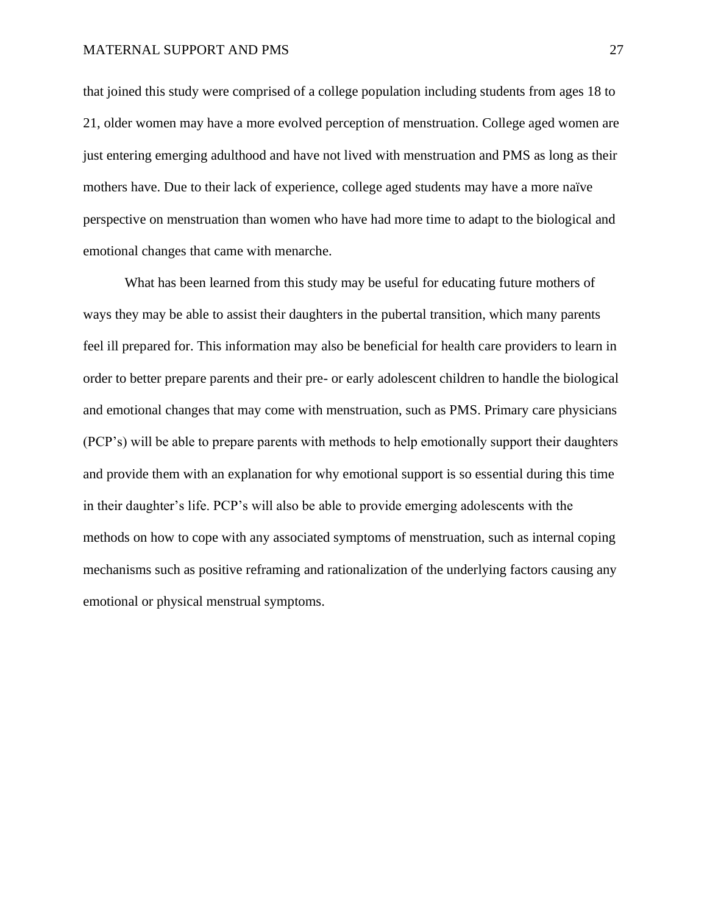that joined this study were comprised of a college population including students from ages 18 to 21, older women may have a more evolved perception of menstruation. College aged women are just entering emerging adulthood and have not lived with menstruation and PMS as long as their mothers have. Due to their lack of experience, college aged students may have a more naïve perspective on menstruation than women who have had more time to adapt to the biological and emotional changes that came with menarche.

What has been learned from this study may be useful for educating future mothers of ways they may be able to assist their daughters in the pubertal transition, which many parents feel ill prepared for. This information may also be beneficial for health care providers to learn in order to better prepare parents and their pre- or early adolescent children to handle the biological and emotional changes that may come with menstruation, such as PMS. Primary care physicians (PCP's) will be able to prepare parents with methods to help emotionally support their daughters and provide them with an explanation for why emotional support is so essential during this time in their daughter's life. PCP's will also be able to provide emerging adolescents with the methods on how to cope with any associated symptoms of menstruation, such as internal coping mechanisms such as positive reframing and rationalization of the underlying factors causing any emotional or physical menstrual symptoms.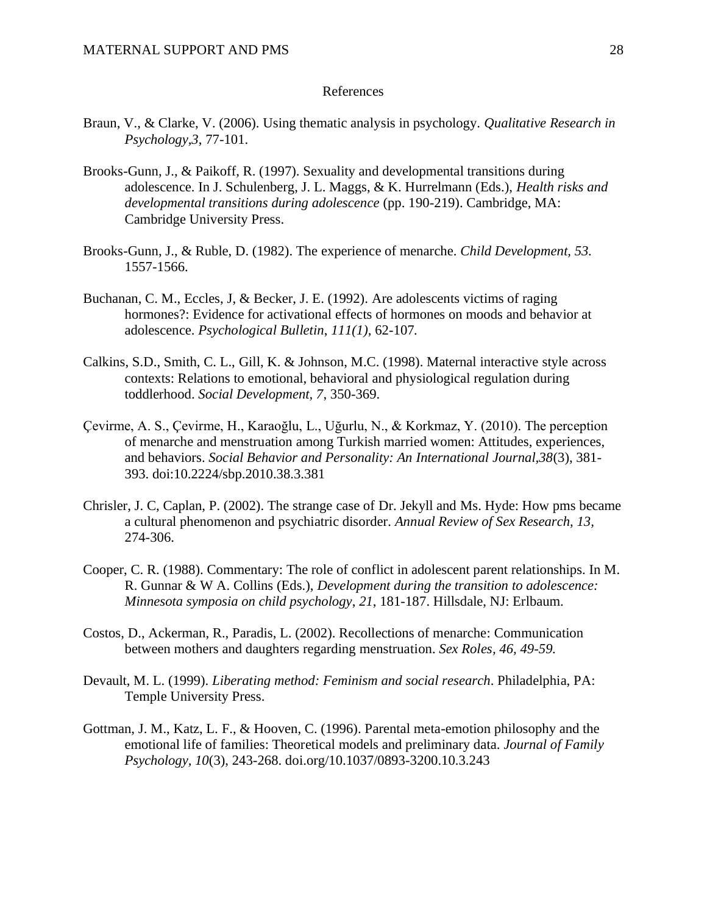### References

- Braun, V., & Clarke, V. (2006). Using thematic analysis in psychology. *Qualitative Research in Psychology,3*, 77-101.
- Brooks-Gunn, J., & Paikoff, R. (1997). Sexuality and developmental transitions during adolescence. In J. Schulenberg, J. L. Maggs, & K. Hurrelmann (Eds.), *Health risks and developmental transitions during adolescence* (pp. 190-219). Cambridge, MA: Cambridge University Press.
- Brooks-Gunn, J., & Ruble, D. (1982). The experience of menarche. *Child Development, 53.* 1557-1566.
- Buchanan, C. M., Eccles, J, & Becker, J. E. (1992). Are adolescents victims of raging hormones?: Evidence for activational effects of hormones on moods and behavior at adolescence. *Psychological Bulletin*, *111(1),* 62-107*.*
- Calkins, S.D., Smith, C. L., Gill, K. & Johnson, M.C. (1998). Maternal interactive style across contexts: Relations to emotional, behavioral and physiological regulation during toddlerhood. *Social Development, 7*, 350-369.
- Çevirme, A. S., Çevirme, H., Karaoğlu, L., Uğurlu, N., & Korkmaz, Y. (2010). The perception of menarche and menstruation among Turkish married women: Attitudes, experiences, and behaviors. *Social Behavior and Personality: An International Journal,38*(3), 381- 393. doi:10.2224/sbp.2010.38.3.381
- Chrisler, J. C, Caplan, P. (2002). The strange case of Dr. Jekyll and Ms. Hyde: How pms became a cultural phenomenon and psychiatric disorder. *Annual Review of Sex Research, 13,*  274-306.
- Cooper, C. R. (1988). Commentary: The role of conflict in adolescent parent relationships. In M. R. Gunnar & W A. Collins (Eds.), *Development during the transition to adolescence: Minnesota symposia on child psychology*, *21*, 181-187. Hillsdale, NJ: Erlbaum.
- Costos, D., Ackerman, R., Paradis, L. (2002). Recollections of menarche: Communication between mothers and daughters regarding menstruation. *Sex Roles, 46, 49-59.*
- Devault, M. L. (1999). *Liberating method: Feminism and social research*. Philadelphia, PA: Temple University Press.
- Gottman, J. M., Katz, L. F., & Hooven, C. (1996). Parental meta-emotion philosophy and the emotional life of families: Theoretical models and preliminary data. *Journal of Family Psychology, 10*(3), 243-268. doi.org/10.1037/0893-3200.10.3.243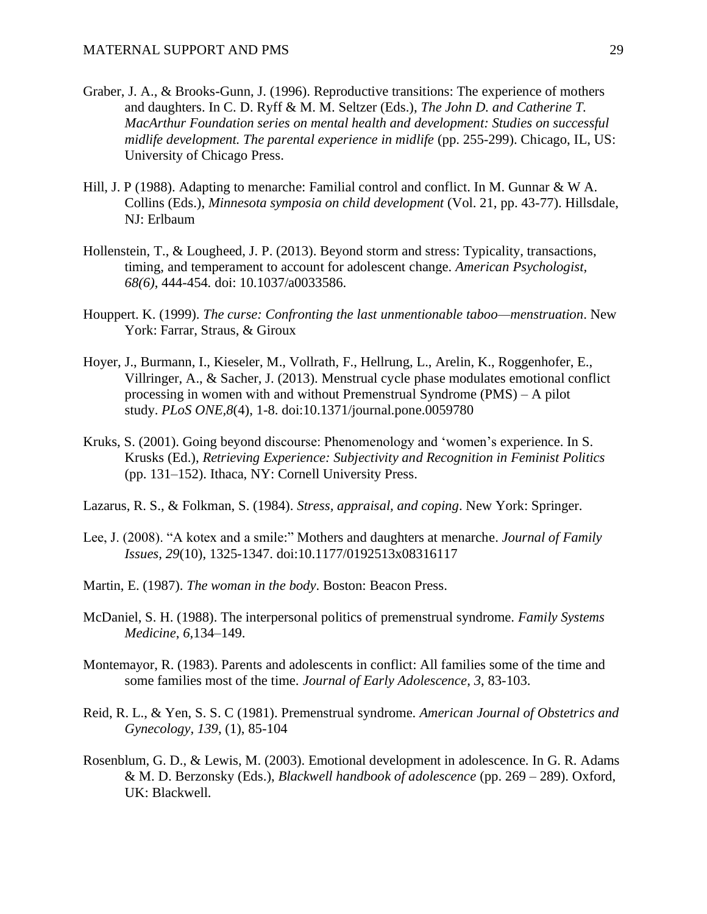- Graber, J. A., & Brooks-Gunn, J. (1996). Reproductive transitions: The experience of mothers and daughters. In C. D. Ryff & M. M. Seltzer (Eds.), *The John D. and Catherine T. MacArthur Foundation series on mental health and development: Studies on successful midlife development. The parental experience in midlife* (pp. 255-299). Chicago, IL, US: University of Chicago Press.
- Hill, J. P (1988). Adapting to menarche: Familial control and conflict. In M. Gunnar & W A. Collins (Eds.), *Minnesota symposia on child development* (Vol. 21, pp. 43-77). Hillsdale, NJ: Erlbaum
- Hollenstein, T., & Lougheed, J. P. (2013). Beyond storm and stress: Typicality, transactions, timing, and temperament to account for adolescent change. *American Psychologist, 68(6)*, 444-454*.* doi: 10.1037/a0033586.
- Houppert. K. (1999). *The curse: Confronting the last unmentionable taboo—menstruation*. New York: Farrar, Straus, & Giroux
- Hoyer, J., Burmann, I., Kieseler, M., Vollrath, F., Hellrung, L., Arelin, K., Roggenhofer, E., Villringer, A., & Sacher, J. (2013). Menstrual cycle phase modulates emotional conflict processing in women with and without Premenstrual Syndrome (PMS) – A pilot study. *PLoS ONE,8*(4), 1-8. doi:10.1371/journal.pone.0059780
- Kruks, S. (2001). Going beyond discourse: Phenomenology and 'women's experience. In S. Krusks (Ed.), *Retrieving Experience: Subjectivity and Recognition in Feminist Politics* (pp. 131–152). Ithaca, NY: Cornell University Press.
- Lazarus, R. S., & Folkman, S. (1984). *Stress, appraisal, and coping*. New York: Springer.
- Lee, J. (2008). "A kotex and a smile:" Mothers and daughters at menarche. *Journal of Family Issues, 29*(10), 1325-1347. doi:10.1177/0192513x08316117
- Martin, E. (1987). *The woman in the body*. Boston: Beacon Press.
- McDaniel, S. H. (1988). The interpersonal politics of premenstrual syndrome. *Family Systems Medicine*, *6*,134–149.
- Montemayor, R. (1983). Parents and adolescents in conflict: All families some of the time and some families most of the time. *Journal of Early Adolescence*, *3*, 83-103.
- Reid, R. L., & Yen, S. S. C (1981). Premenstrual syndrome. *American Journal of Obstetrics and Gynecology, 139*, (1), 85-104
- Rosenblum, G. D., & Lewis, M. (2003). Emotional development in adolescence. In G. R. Adams & M. D. Berzonsky (Eds.), *Blackwell handbook of adolescence* (pp. 269 – 289). Oxford, UK: Blackwell.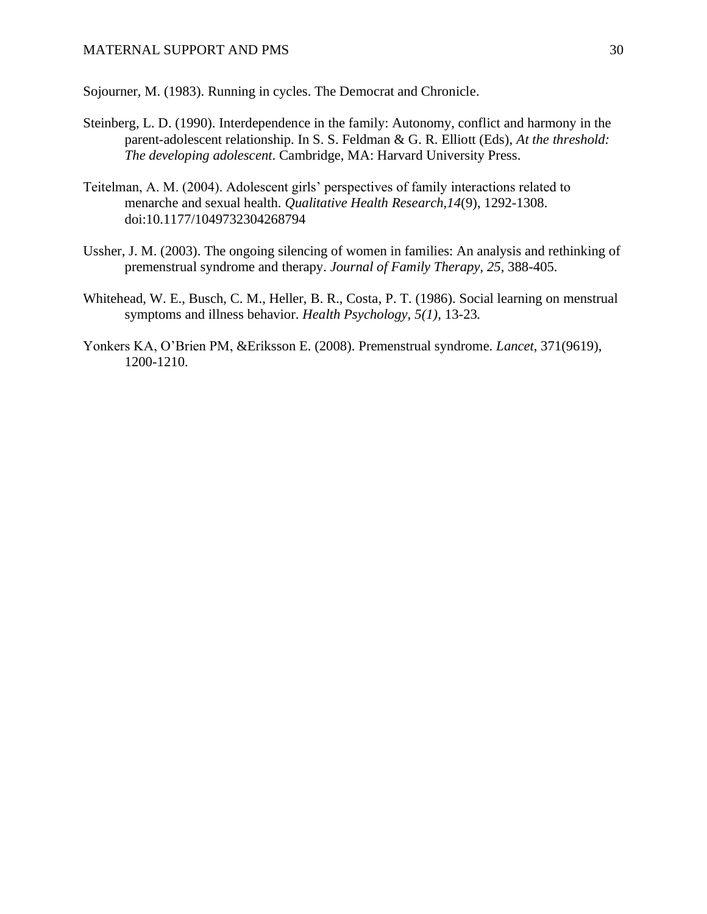Sojourner, M. (1983). Running in cycles. The Democrat and Chronicle.

- Steinberg, L. D. (1990). Interdependence in the family: Autonomy, conflict and harmony in the parent-adolescent relationship. In S. S. Feldman & G. R. Elliott (Eds), *At the threshold: The developing adolescent*. Cambridge, MA: Harvard University Press.
- Teitelman, A. M. (2004). Adolescent girls' perspectives of family interactions related to menarche and sexual health. *Qualitative Health Research,14*(9), 1292-1308. doi:10.1177/1049732304268794
- Ussher, J. M. (2003). The ongoing silencing of women in families: An analysis and rethinking of premenstrual syndrome and therapy. *Journal of Family Therapy*, *25*, 388-405.
- Whitehead, W. E., Busch, C. M., Heller, B. R., Costa, P. T. (1986). Social learning on menstrual symptoms and illness behavior. *Health Psychology, 5(1),* 13-23*.*
- Yonkers KA, O'Brien PM, &Eriksson E. (2008). Premenstrual syndrome. *Lancet*, 371(9619), 1200-1210.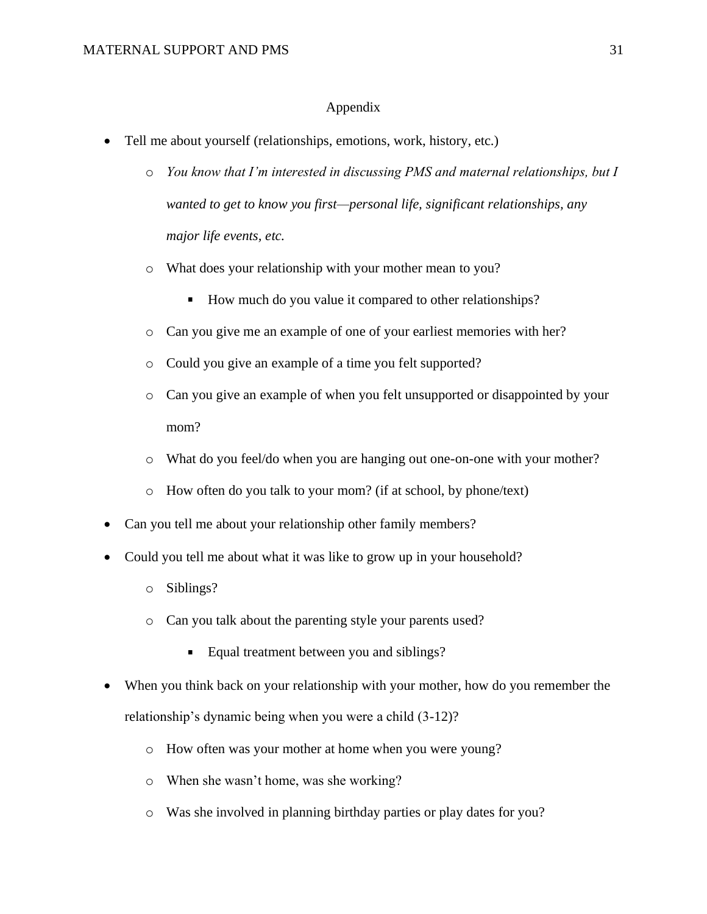## Appendix

- Tell me about yourself (relationships, emotions, work, history, etc.)
	- o *You know that I'm interested in discussing PMS and maternal relationships, but I wanted to get to know you first—personal life, significant relationships, any major life events, etc.*
	- o What does your relationship with your mother mean to you?
		- How much do you value it compared to other relationships?
	- o Can you give me an example of one of your earliest memories with her?
	- o Could you give an example of a time you felt supported?
	- o Can you give an example of when you felt unsupported or disappointed by your mom?
	- o What do you feel/do when you are hanging out one-on-one with your mother?
	- o How often do you talk to your mom? (if at school, by phone/text)
- Can you tell me about your relationship other family members?
- Could you tell me about what it was like to grow up in your household?
	- o Siblings?
	- o Can you talk about the parenting style your parents used?
		- Equal treatment between you and siblings?
- When you think back on your relationship with your mother, how do you remember the relationship's dynamic being when you were a child (3-12)?
	- o How often was your mother at home when you were young?
	- o When she wasn't home, was she working?
	- o Was she involved in planning birthday parties or play dates for you?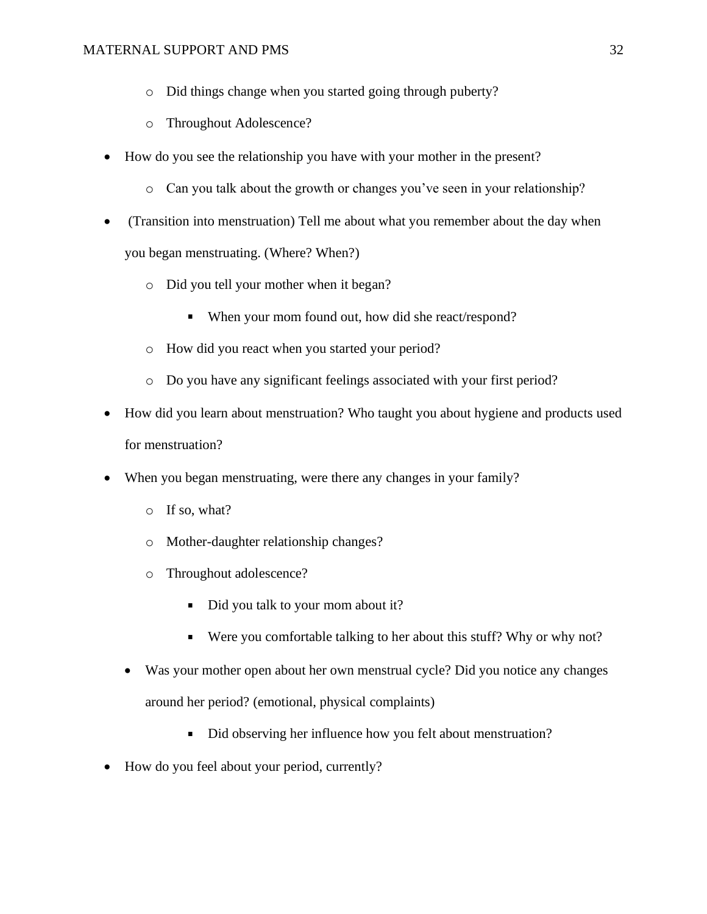- o Did things change when you started going through puberty?
- o Throughout Adolescence?
- How do you see the relationship you have with your mother in the present?
	- o Can you talk about the growth or changes you've seen in your relationship?
- (Transition into menstruation) Tell me about what you remember about the day when you began menstruating. (Where? When?)
	- o Did you tell your mother when it began?
		- When your mom found out, how did she react/respond?
	- o How did you react when you started your period?
	- o Do you have any significant feelings associated with your first period?
- How did you learn about menstruation? Who taught you about hygiene and products used for menstruation?
- When you began menstruating, were there any changes in your family?
	- o If so, what?
	- o Mother-daughter relationship changes?
	- o Throughout adolescence?
		- Did you talk to your mom about it?
		- Were you comfortable talking to her about this stuff? Why or why not?
	- Was your mother open about her own menstrual cycle? Did you notice any changes around her period? (emotional, physical complaints)
		- $\blacksquare$ Did observing her influence how you felt about menstruation?
- How do you feel about your period, currently?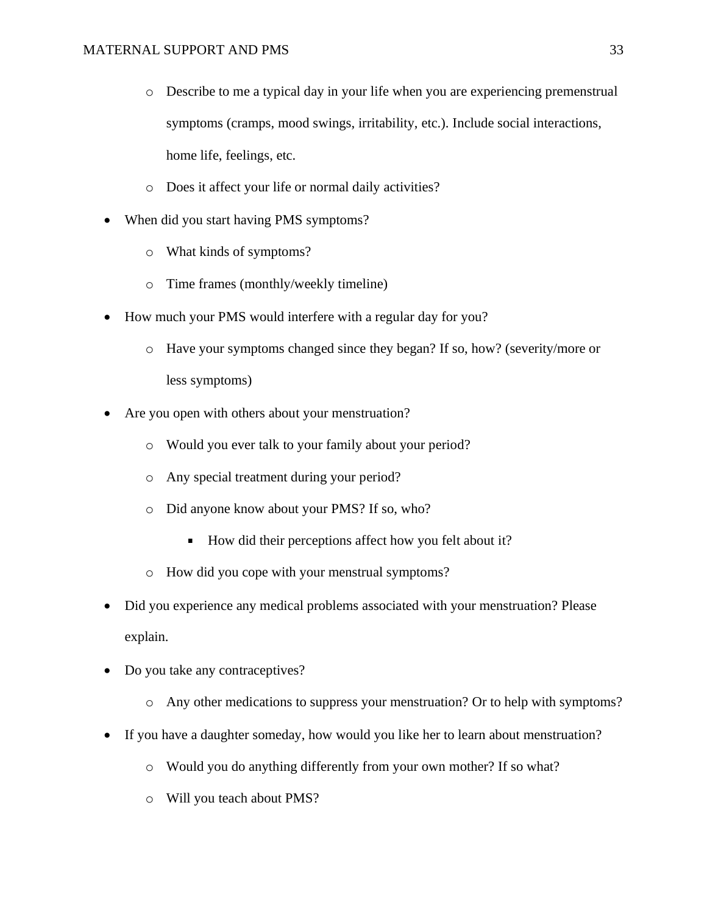- o Describe to me a typical day in your life when you are experiencing premenstrual symptoms (cramps, mood swings, irritability, etc.). Include social interactions, home life, feelings, etc.
- o Does it affect your life or normal daily activities?
- When did you start having PMS symptoms?
	- o What kinds of symptoms?
	- o Time frames (monthly/weekly timeline)
- How much your PMS would interfere with a regular day for you?
	- o Have your symptoms changed since they began? If so, how? (severity/more or less symptoms)
- Are you open with others about your menstruation?
	- o Would you ever talk to your family about your period?
	- o Any special treatment during your period?
	- o Did anyone know about your PMS? If so, who?
		- How did their perceptions affect how you felt about it?
	- o How did you cope with your menstrual symptoms?
- Did you experience any medical problems associated with your menstruation? Please explain.
- Do you take any contraceptives?
	- o Any other medications to suppress your menstruation? Or to help with symptoms?
- If you have a daughter someday, how would you like her to learn about menstruation?
	- o Would you do anything differently from your own mother? If so what?
	- o Will you teach about PMS?